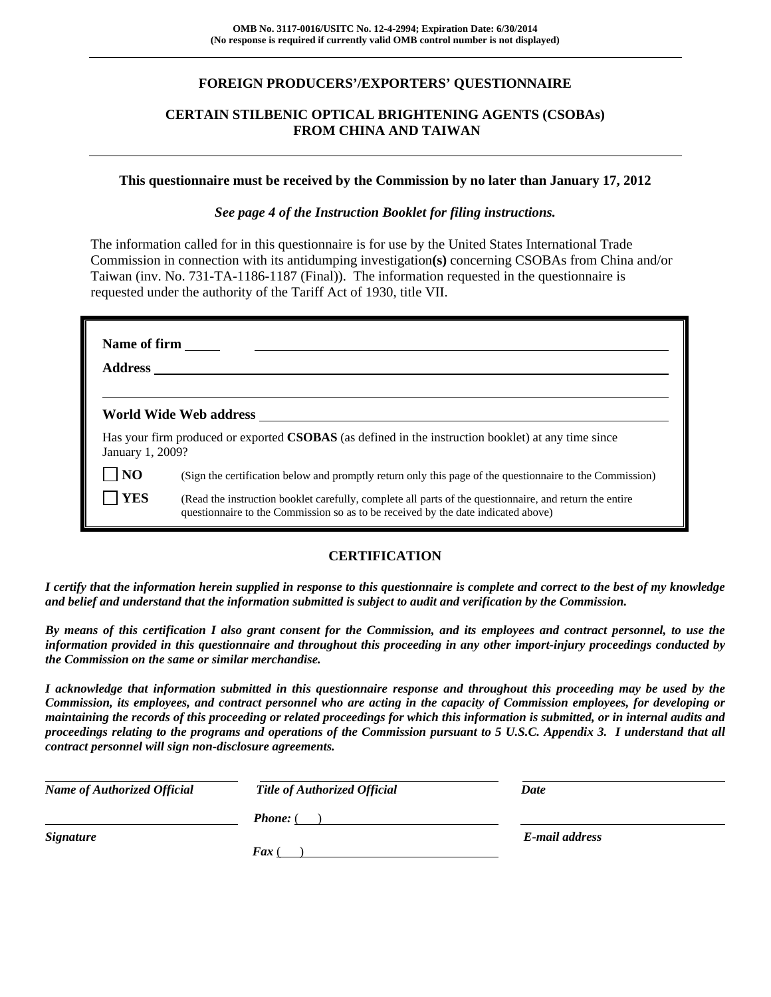# **FOREIGN PRODUCERS'/EXPORTERS' QUESTIONNAIRE**

# **CERTAIN STILBENIC OPTICAL BRIGHTENING AGENTS (CSOBAs) FROM CHINA AND TAIWAN**

#### **This questionnaire must be received by the Commission by no later than January 17, 2012**

#### *See page 4 of the Instruction Booklet for filing instructions.*

The information called for in this questionnaire is for use by the United States International Trade Commission in connection with its antidumping investigation**(s)** concerning CSOBAs from China and/or Taiwan (inv. No. 731-TA-1186-1187 (Final)). The information requested in the questionnaire is requested under the authority of the Tariff Act of 1930, title VII.

| Name of firm     | <u> 1990 - Jan James James Jan James James James James James James James James James James James James James James</u>                                                                       |
|------------------|----------------------------------------------------------------------------------------------------------------------------------------------------------------------------------------------|
|                  | World Wide Web address North States and Security States and Security States and Security States and Security S                                                                               |
| January 1, 2009? | Has your firm produced or exported <b>CSOBAS</b> (as defined in the instruction booklet) at any time since                                                                                   |
| <b>NO</b>        | (Sign the certification below and promptly return only this page of the questionnaire to the Commission)                                                                                     |
| <b>YES</b>       | (Read the instruction booklet carefully, complete all parts of the questionnaire, and return the entire<br>questionnaire to the Commission so as to be received by the date indicated above) |

### **CERTIFICATION**

*I certify that the information herein supplied in response to this questionnaire is complete and correct to the best of my knowledge and belief and understand that the information submitted is subject to audit and verification by the Commission.* 

*By means of this certification I also grant consent for the Commission, and its employees and contract personnel, to use the information provided in this questionnaire and throughout this proceeding in any other import-injury proceedings conducted by the Commission on the same or similar merchandise.* 

*I acknowledge that information submitted in this questionnaire response and throughout this proceeding may be used by the Commission, its employees, and contract personnel who are acting in the capacity of Commission employees, for developing or maintaining the records of this proceeding or related proceedings for which this information is submitted, or in internal audits and proceedings relating to the programs and operations of the Commission pursuant to 5 U.S.C. Appendix 3. I understand that all contract personnel will sign non-disclosure agreements.* 

| <b>Name of Authorized Official</b> | <b>Title of Authorized Official</b> | Date           |
|------------------------------------|-------------------------------------|----------------|
|                                    | <b>Phone:</b> (                     |                |
| <b>Signature</b>                   | $\int$ Fax (                        | E-mail address |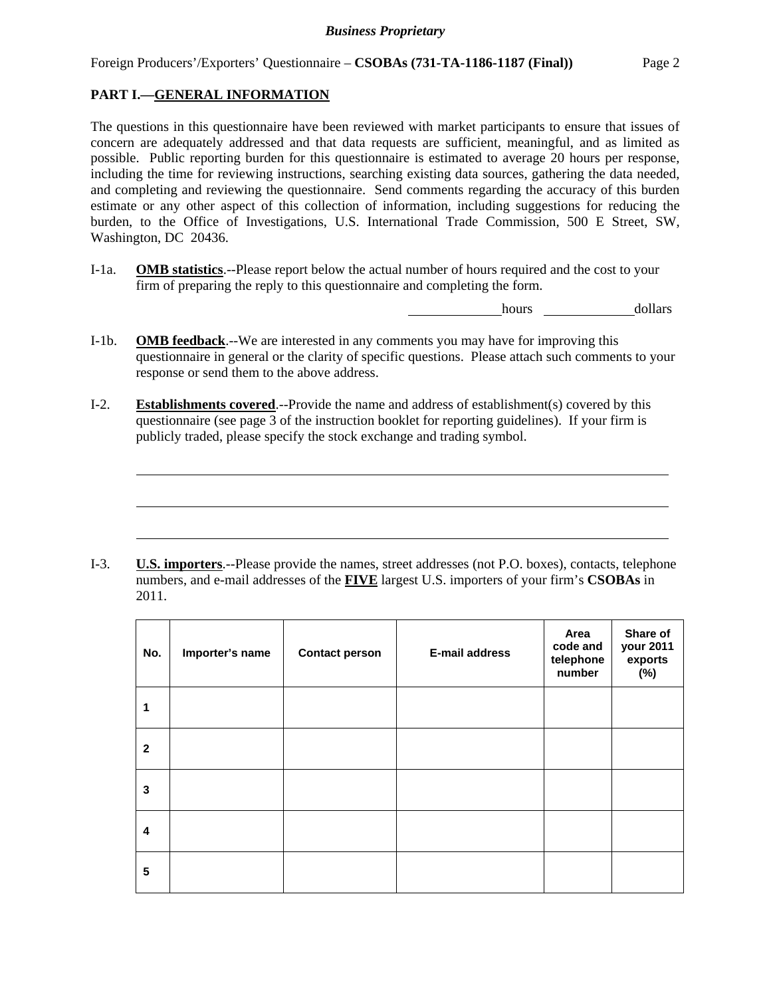# **PART I.—GENERAL INFORMATION**

l

l

l

The questions in this questionnaire have been reviewed with market participants to ensure that issues of concern are adequately addressed and that data requests are sufficient, meaningful, and as limited as possible. Public reporting burden for this questionnaire is estimated to average 20 hours per response, including the time for reviewing instructions, searching existing data sources, gathering the data needed, and completing and reviewing the questionnaire. Send comments regarding the accuracy of this burden estimate or any other aspect of this collection of information, including suggestions for reducing the burden, to the Office of Investigations, U.S. International Trade Commission, 500 E Street, SW, Washington, DC 20436.

I-1a. **OMB statistics**.--Please report below the actual number of hours required and the cost to your firm of preparing the reply to this questionnaire and completing the form.

hours dollars

- I-1b. **OMB feedback**.--We are interested in any comments you may have for improving this questionnaire in general or the clarity of specific questions. Please attach such comments to your response or send them to the above address.
- I-2. **Establishments covered**.--Provide the name and address of establishment(s) covered by this questionnaire (see page 3 of the instruction booklet for reporting guidelines). If your firm is publicly traded, please specify the stock exchange and trading symbol.

I-3. **U.S. importers**.--Please provide the names, street addresses (not P.O. boxes), contacts, telephone numbers, and e-mail addresses of the **FIVE** largest U.S. importers of your firm's **CSOBAs** in 2011.

| No.                     | Importer's name | <b>Contact person</b> | E-mail address | Area<br>code and<br>telephone<br>number | Share of<br>your 2011<br>exports<br>(%) |
|-------------------------|-----------------|-----------------------|----------------|-----------------------------------------|-----------------------------------------|
| 1                       |                 |                       |                |                                         |                                         |
| $\mathbf{2}$            |                 |                       |                |                                         |                                         |
| 3                       |                 |                       |                |                                         |                                         |
| $\overline{\mathbf{4}}$ |                 |                       |                |                                         |                                         |
| 5                       |                 |                       |                |                                         |                                         |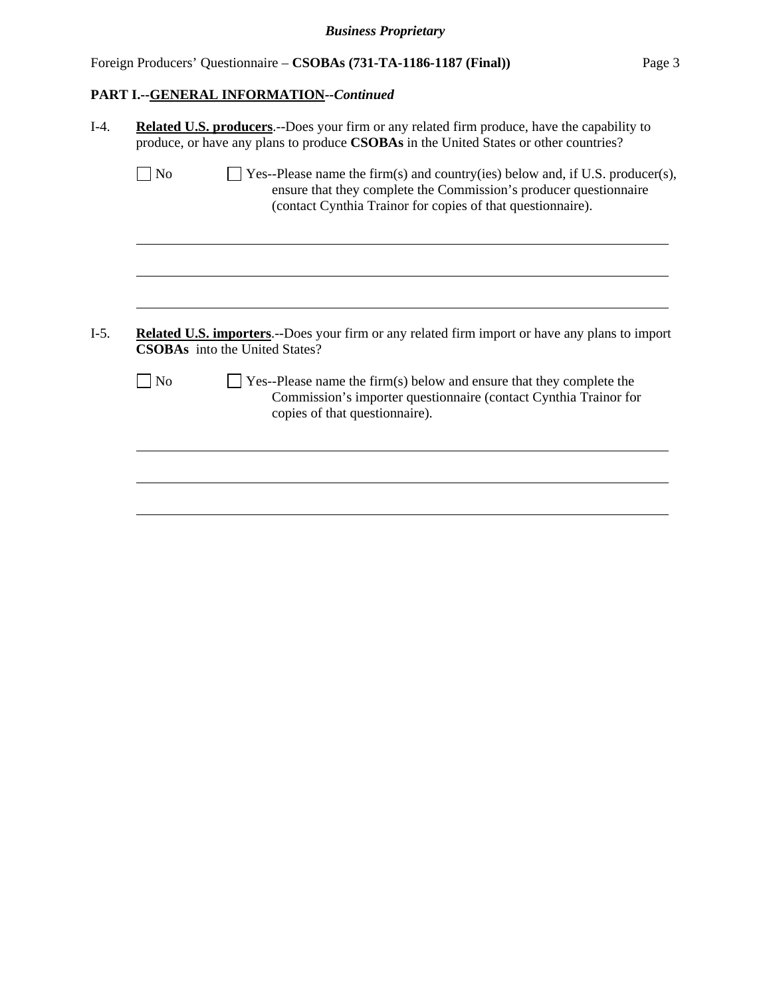Foreign Producers' Questionnaire – **CSOBAs (731-TA-1186-1187 (Final))** Page 3

# **PART I.--GENERAL INFORMATION***--Continued*

| No             | $\Box$ Yes--Please name the firm(s) and country(ies) below and, if U.S. producer(s),<br>ensure that they complete the Commission's producer questionnaire<br>(contact Cynthia Trainor for copies of that questionnaire). |
|----------------|--------------------------------------------------------------------------------------------------------------------------------------------------------------------------------------------------------------------------|
|                |                                                                                                                                                                                                                          |
|                | <b>Related U.S. importers.</b> --Does your firm or any related firm import or have any plans to import                                                                                                                   |
|                | <b>CSOBAs</b> into the United States?                                                                                                                                                                                    |
| N <sub>o</sub> | $\blacksquare$ Yes--Please name the firm(s) below and ensure that they complete the<br>Commission's importer questionnaire (contact Cynthia Trainor for<br>copies of that questionnaire).                                |
|                |                                                                                                                                                                                                                          |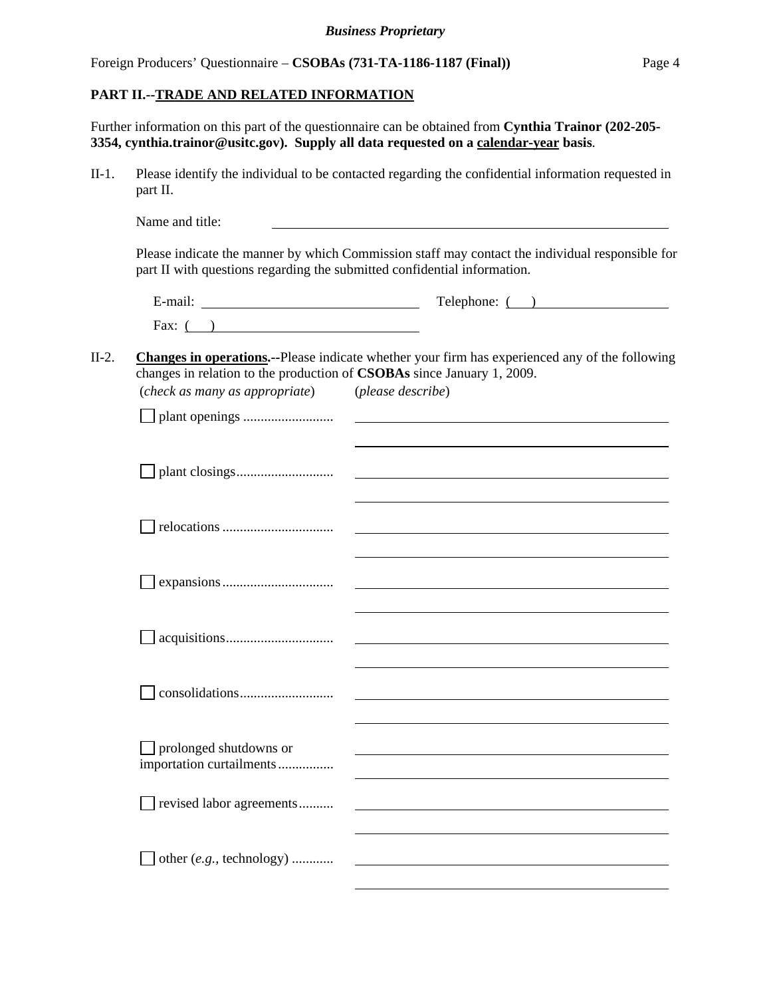Foreign Producers' Questionnaire – **CSOBAs (731-TA-1186-1187 (Final))** Page 4

#### **PART II.--TRADE AND RELATED INFORMATION**

Further information on this part of the questionnaire can be obtained from **Cynthia Trainor (202-205- 3354, cynthia.trainor@usitc.gov). Supply all data requested on a calendar-year basis**.

II-1. Please identify the individual to be contacted regarding the confidential information requested in part II.

|         | Name and title:                                                                                          |                                                                                                                     |
|---------|----------------------------------------------------------------------------------------------------------|---------------------------------------------------------------------------------------------------------------------|
|         | part II with questions regarding the submitted confidential information.                                 | Please indicate the manner by which Commission staff may contact the individual responsible for                     |
|         |                                                                                                          | $\text{Telephone: } ($ )                                                                                            |
|         | Fax: $($ )                                                                                               |                                                                                                                     |
| $II-2.$ | changes in relation to the production of CSOBAs since January 1, 2009.<br>(check as many as appropriate) | Changes in operations.--Please indicate whether your firm has experienced any of the following<br>(please describe) |
|         |                                                                                                          |                                                                                                                     |
|         |                                                                                                          |                                                                                                                     |
|         |                                                                                                          |                                                                                                                     |
|         |                                                                                                          | and the control of the control of the control of the control of the control of the control of the control of the    |
|         |                                                                                                          |                                                                                                                     |
|         |                                                                                                          |                                                                                                                     |
|         | $\Box$ prolonged shutdowns or<br>importation curtailments                                                |                                                                                                                     |
|         | revised labor agreements                                                                                 |                                                                                                                     |
|         | other (e.g., technology)                                                                                 |                                                                                                                     |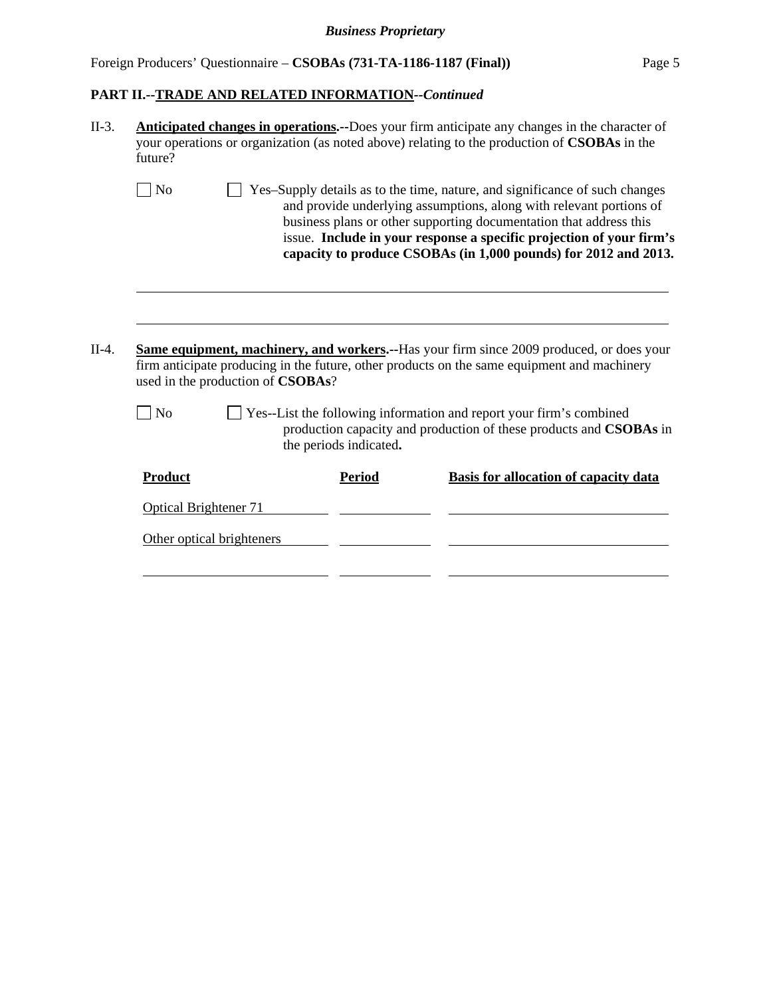# *Business Proprietary*

# Foreign Producers' Questionnaire – **CSOBAs (731-TA-1186-1187 (Final))** Page 5

# **PART II.--TRADE AND RELATED INFORMATION***--Continued*

| II-3.   | Anticipated changes in operations.--Does your firm anticipate any changes in the character of<br>your operations or organization (as noted above) relating to the production of <b>CSOBAs</b> in the<br>future? |                                   |                        |                                                                                                                                                                                                                                                                                                                                                                     |  |
|---------|-----------------------------------------------------------------------------------------------------------------------------------------------------------------------------------------------------------------|-----------------------------------|------------------------|---------------------------------------------------------------------------------------------------------------------------------------------------------------------------------------------------------------------------------------------------------------------------------------------------------------------------------------------------------------------|--|
|         | N <sub>o</sub>                                                                                                                                                                                                  |                                   |                        | Yes-Supply details as to the time, nature, and significance of such changes<br>and provide underlying assumptions, along with relevant portions of<br>business plans or other supporting documentation that address this<br>issue. Include in your response a specific projection of your firm's<br>capacity to produce CSOBAs (in 1,000 pounds) for 2012 and 2013. |  |
| $II-4.$ |                                                                                                                                                                                                                 | used in the production of CSOBAs? |                        | <b>Same equipment, machinery, and workers.</b> --Has your firm since 2009 produced, or does your<br>firm anticipate producing in the future, other products on the same equipment and machinery                                                                                                                                                                     |  |
|         | N <sub>o</sub>                                                                                                                                                                                                  |                                   | the periods indicated. | Yes--List the following information and report your firm's combined<br>production capacity and production of these products and CSOBAs in                                                                                                                                                                                                                           |  |
|         | Product                                                                                                                                                                                                         |                                   | <b>Period</b>          | <b>Basis for allocation of capacity data</b>                                                                                                                                                                                                                                                                                                                        |  |
|         | <b>Optical Brightener 71</b>                                                                                                                                                                                    |                                   |                        |                                                                                                                                                                                                                                                                                                                                                                     |  |
|         |                                                                                                                                                                                                                 | Other optical brighteners         |                        |                                                                                                                                                                                                                                                                                                                                                                     |  |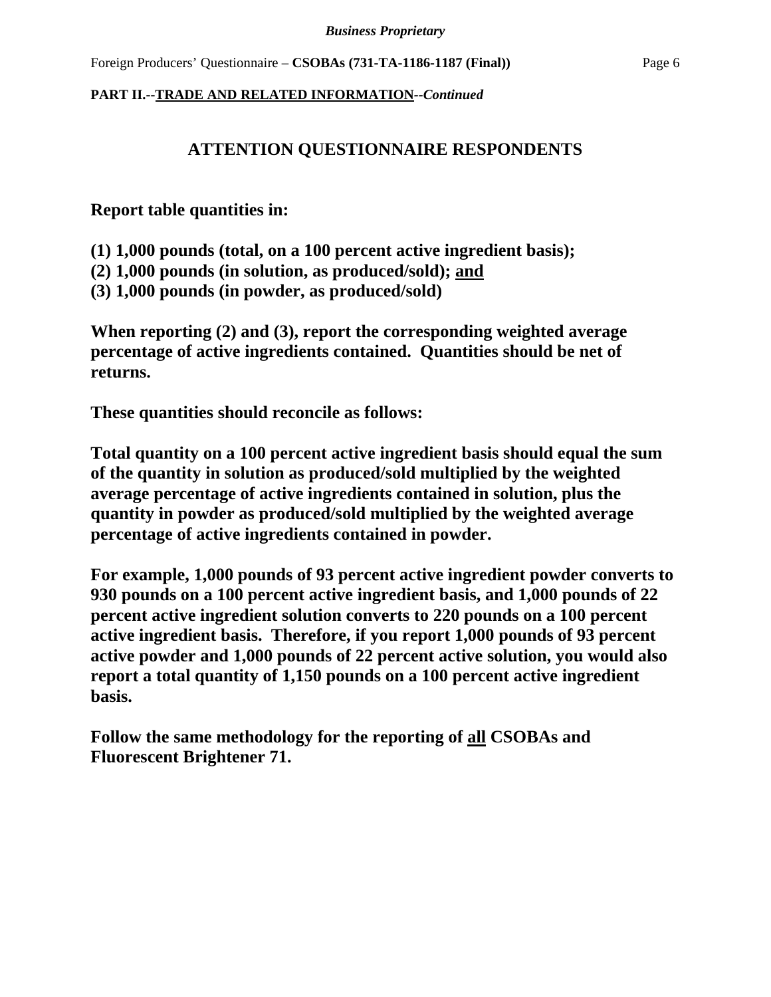# **ATTENTION QUESTIONNAIRE RESPONDENTS**

**Report table quantities in:** 

**(1) 1,000 pounds (total, on a 100 percent active ingredient basis);** 

**(2) 1,000 pounds (in solution, as produced/sold); and** 

**(3) 1,000 pounds (in powder, as produced/sold)** 

**When reporting (2) and (3), report the corresponding weighted average percentage of active ingredients contained. Quantities should be net of returns.** 

**These quantities should reconcile as follows:** 

**Total quantity on a 100 percent active ingredient basis should equal the sum of the quantity in solution as produced/sold multiplied by the weighted average percentage of active ingredients contained in solution, plus the quantity in powder as produced/sold multiplied by the weighted average percentage of active ingredients contained in powder.** 

**For example, 1,000 pounds of 93 percent active ingredient powder converts to 930 pounds on a 100 percent active ingredient basis, and 1,000 pounds of 22 percent active ingredient solution converts to 220 pounds on a 100 percent active ingredient basis. Therefore, if you report 1,000 pounds of 93 percent active powder and 1,000 pounds of 22 percent active solution, you would also report a total quantity of 1,150 pounds on a 100 percent active ingredient basis.** 

**Follow the same methodology for the reporting of all CSOBAs and Fluorescent Brightener 71.**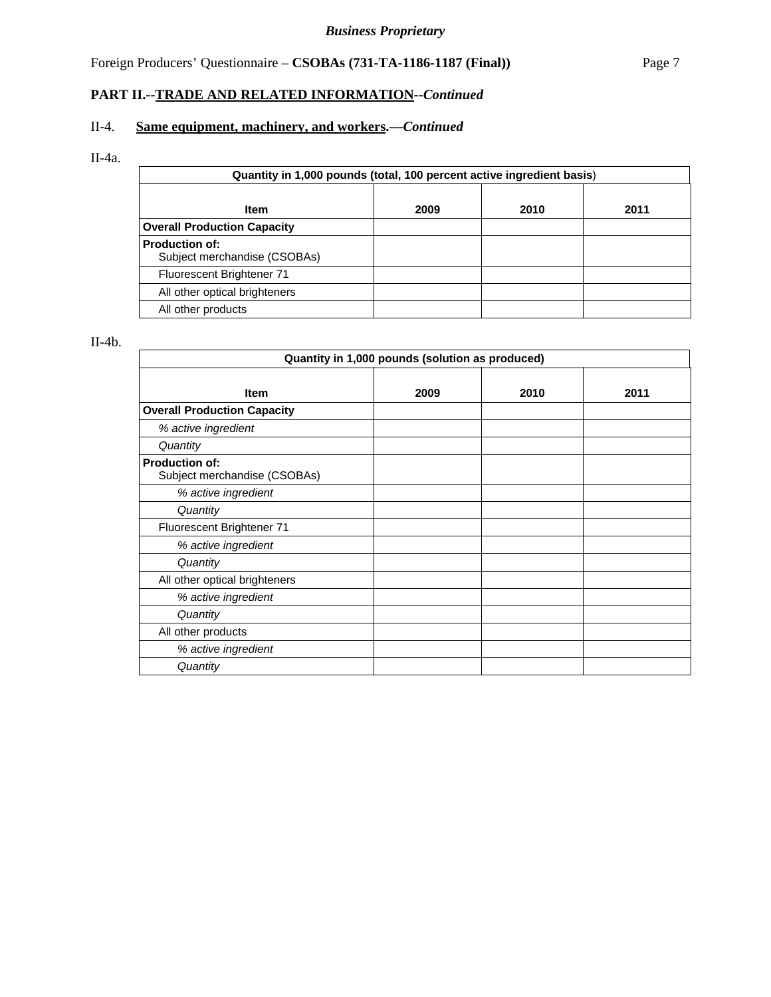# Foreign Producers' Questionnaire – **CSOBAs (731-TA-1186-1187 (Final))** Page 7

# **PART II.--TRADE AND RELATED INFORMATION***--Continued*

# II-4. **Same equipment, machinery, and workers.—***Continued*

# II-4a.

| Quantity in 1,000 pounds (total, 100 percent active ingredient basis) |  |  |  |  |  |  |
|-----------------------------------------------------------------------|--|--|--|--|--|--|
| 2009<br>2010<br>2011<br><b>Item</b>                                   |  |  |  |  |  |  |
| <b>Overall Production Capacity</b>                                    |  |  |  |  |  |  |
| <b>Production of:</b><br>Subject merchandise (CSOBAs)                 |  |  |  |  |  |  |
| Fluorescent Brightener 71                                             |  |  |  |  |  |  |
| All other optical brighteners                                         |  |  |  |  |  |  |
| All other products                                                    |  |  |  |  |  |  |

# II-4b.

| Quantity in 1,000 pounds (solution as produced)       |      |      |      |  |  |
|-------------------------------------------------------|------|------|------|--|--|
| <b>Item</b>                                           | 2009 | 2010 | 2011 |  |  |
| <b>Overall Production Capacity</b>                    |      |      |      |  |  |
| % active ingredient                                   |      |      |      |  |  |
| Quantity                                              |      |      |      |  |  |
| <b>Production of:</b><br>Subject merchandise (CSOBAs) |      |      |      |  |  |
| % active ingredient                                   |      |      |      |  |  |
| Quantity                                              |      |      |      |  |  |
| Fluorescent Brightener 71                             |      |      |      |  |  |
| % active ingredient                                   |      |      |      |  |  |
| Quantity                                              |      |      |      |  |  |
| All other optical brighteners                         |      |      |      |  |  |
| % active ingredient                                   |      |      |      |  |  |
| Quantity                                              |      |      |      |  |  |
| All other products                                    |      |      |      |  |  |
| % active ingredient                                   |      |      |      |  |  |
| Quantity                                              |      |      |      |  |  |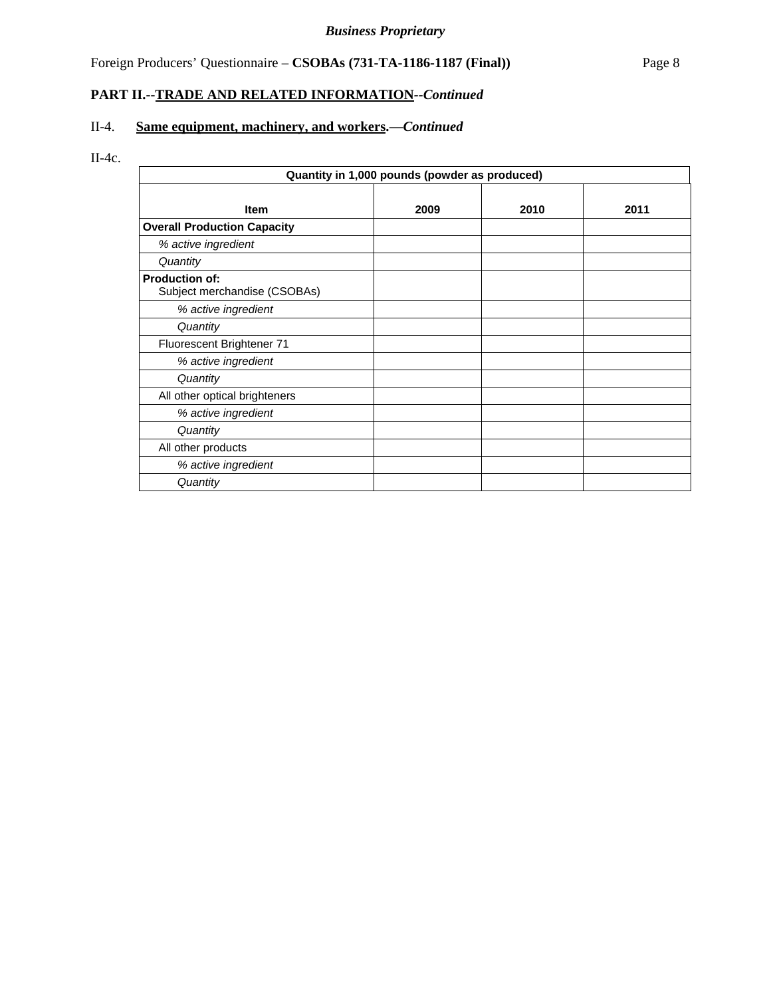# Foreign Producers' Questionnaire – **CSOBAs (731-TA-1186-1187 (Final))** Page 8

# **PART II.--TRADE AND RELATED INFORMATION***--Continued*

# II-4. **Same equipment, machinery, and workers.—***Continued*

# II-4c.

| Quantity in 1,000 pounds (powder as produced)         |      |      |      |  |
|-------------------------------------------------------|------|------|------|--|
| <b>Item</b>                                           | 2009 | 2010 | 2011 |  |
| <b>Overall Production Capacity</b>                    |      |      |      |  |
| % active ingredient                                   |      |      |      |  |
| Quantity                                              |      |      |      |  |
| <b>Production of:</b><br>Subject merchandise (CSOBAs) |      |      |      |  |
| % active ingredient                                   |      |      |      |  |
| Quantity                                              |      |      |      |  |
| Fluorescent Brightener 71                             |      |      |      |  |
| % active ingredient                                   |      |      |      |  |
| Quantity                                              |      |      |      |  |
| All other optical brighteners                         |      |      |      |  |
| % active ingredient                                   |      |      |      |  |
| Quantity                                              |      |      |      |  |
| All other products                                    |      |      |      |  |
| % active ingredient                                   |      |      |      |  |
| Quantity                                              |      |      |      |  |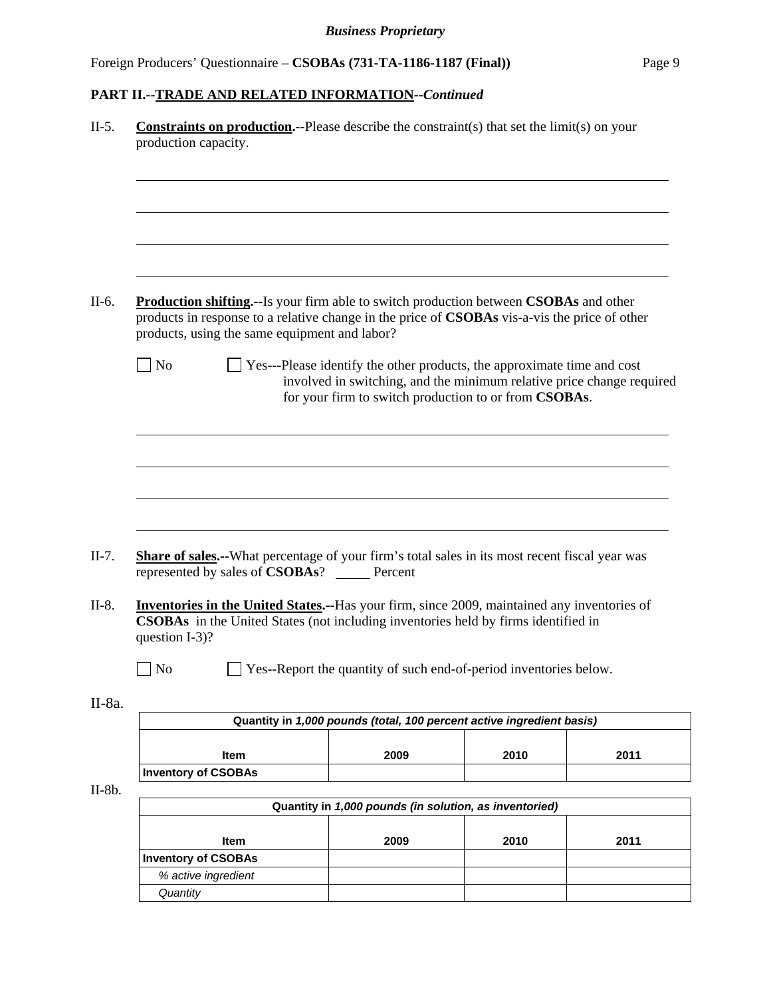|        |                                 |                                                 | <b>Constraints on production.</b> --Please describe the constraint(s) that set the limit(s) on your                                                                                                   |      |      |
|--------|---------------------------------|-------------------------------------------------|-------------------------------------------------------------------------------------------------------------------------------------------------------------------------------------------------------|------|------|
|        | production capacity.            |                                                 |                                                                                                                                                                                                       |      |      |
|        |                                 |                                                 |                                                                                                                                                                                                       |      |      |
|        |                                 |                                                 |                                                                                                                                                                                                       |      |      |
|        |                                 |                                                 |                                                                                                                                                                                                       |      |      |
|        |                                 |                                                 |                                                                                                                                                                                                       |      |      |
|        |                                 |                                                 |                                                                                                                                                                                                       |      |      |
|        |                                 | products, using the same equipment and labor?   | <b>Production shifting.</b> --Is your firm able to switch production between <b>CSOBAs</b> and other<br>products in response to a relative change in the price of CSOBAs vis-a-vis the price of other |      |      |
|        | $\blacksquare$ No               |                                                 | $\Box$ Yes---Please identify the other products, the approximate time and cost<br>involved in switching, and the minimum relative price change required                                               |      |      |
|        |                                 |                                                 | for your firm to switch production to or from CSOBAs.                                                                                                                                                 |      |      |
|        |                                 |                                                 |                                                                                                                                                                                                       |      |      |
|        |                                 |                                                 |                                                                                                                                                                                                       |      |      |
|        |                                 |                                                 |                                                                                                                                                                                                       |      |      |
|        |                                 |                                                 |                                                                                                                                                                                                       |      |      |
|        |                                 |                                                 |                                                                                                                                                                                                       |      |      |
|        |                                 |                                                 |                                                                                                                                                                                                       |      |      |
|        |                                 |                                                 |                                                                                                                                                                                                       |      |      |
|        |                                 |                                                 |                                                                                                                                                                                                       |      |      |
|        |                                 |                                                 |                                                                                                                                                                                                       |      |      |
|        |                                 | represented by sales of <b>CSOBAs</b> ? Percent | <b>Share of sales.</b> --What percentage of your firm's total sales in its most recent fiscal year was                                                                                                |      |      |
|        |                                 |                                                 |                                                                                                                                                                                                       |      |      |
|        |                                 |                                                 | Inventories in the United States.--Has your firm, since 2009, maintained any inventories of                                                                                                           |      |      |
|        |                                 |                                                 | CSOBAs in the United States (not including inventories held by firms identified in                                                                                                                    |      |      |
|        | question I-3)?                  |                                                 |                                                                                                                                                                                                       |      |      |
|        | N <sub>o</sub>                  |                                                 | Yes--Report the quantity of such end-of-period inventories below.                                                                                                                                     |      |      |
|        |                                 |                                                 |                                                                                                                                                                                                       |      |      |
| II-8a. |                                 |                                                 | Quantity in 1,000 pounds (total, 100 percent active ingredient basis)                                                                                                                                 |      |      |
|        |                                 |                                                 |                                                                                                                                                                                                       |      |      |
|        |                                 | Item                                            | 2009                                                                                                                                                                                                  | 2010 | 2011 |
|        | <b>Inventory of CSOBAs</b>      |                                                 |                                                                                                                                                                                                       |      |      |
|        |                                 |                                                 |                                                                                                                                                                                                       |      |      |
|        |                                 |                                                 | Quantity in 1,000 pounds (in solution, as inventoried)                                                                                                                                                |      |      |
|        |                                 |                                                 |                                                                                                                                                                                                       |      |      |
|        |                                 | Item                                            | 2009                                                                                                                                                                                                  | 2010 | 2011 |
|        | <b>Inventory of CSOBAs</b>      |                                                 |                                                                                                                                                                                                       |      |      |
|        | % active ingredient<br>Quantity |                                                 |                                                                                                                                                                                                       |      |      |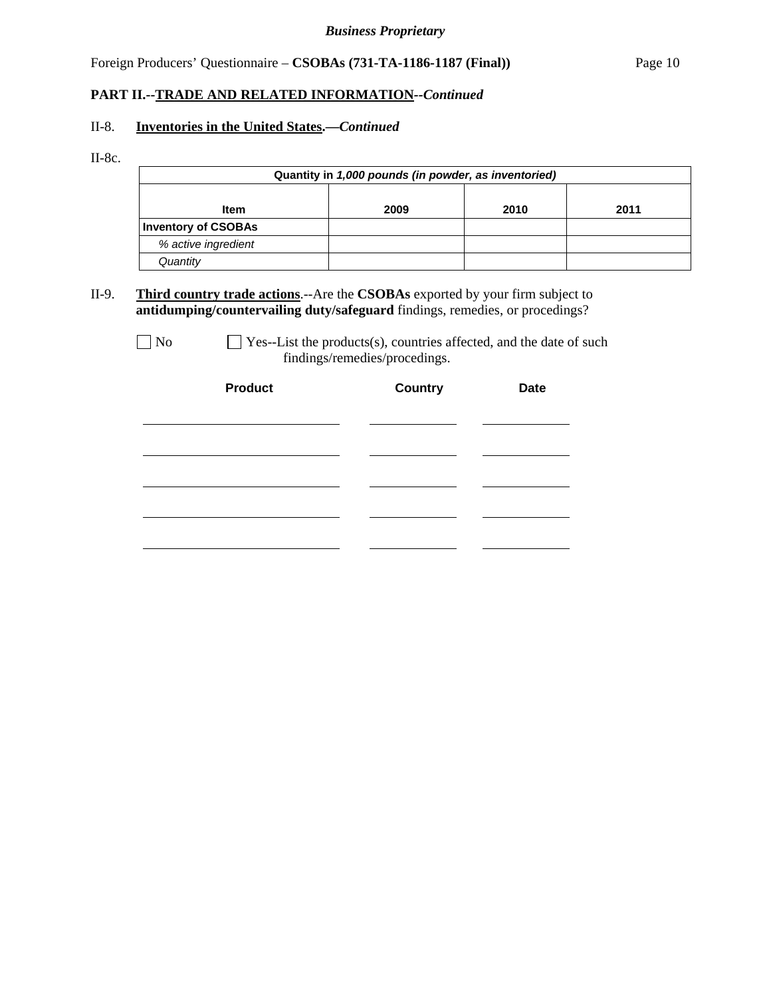Foreign Producers' Questionnaire – **CSOBAs (731-TA-1186-1187 (Final))** Page 10

#### **PART II.--TRADE AND RELATED INFORMATION***--Continued*

#### II-8. **Inventories in the United States.—***Continued*

II-8c.

| Quantity in 1,000 pounds (in powder, as inventoried) |                      |  |  |  |  |  |  |
|------------------------------------------------------|----------------------|--|--|--|--|--|--|
|                                                      |                      |  |  |  |  |  |  |
| <b>Item</b>                                          | 2011<br>2009<br>2010 |  |  |  |  |  |  |
| <b>Inventory of CSOBAs</b>                           |                      |  |  |  |  |  |  |
| % active ingredient                                  |                      |  |  |  |  |  |  |
| Quantity                                             |                      |  |  |  |  |  |  |

II-9. **Third country trade actions**.--Are the **CSOBAs** exported by your firm subject to **antidumping/countervailing duty/safeguard** findings, remedies, or procedings?

 $\Box$  No  $\Box$  Yes--List the products(s), countries affected, and the date of such findings/remedies/procedings.

| <b>Product</b> | <b>Country</b> | <b>Date</b> |
|----------------|----------------|-------------|
|                |                |             |
|                |                |             |
|                |                |             |
|                |                |             |
|                |                |             |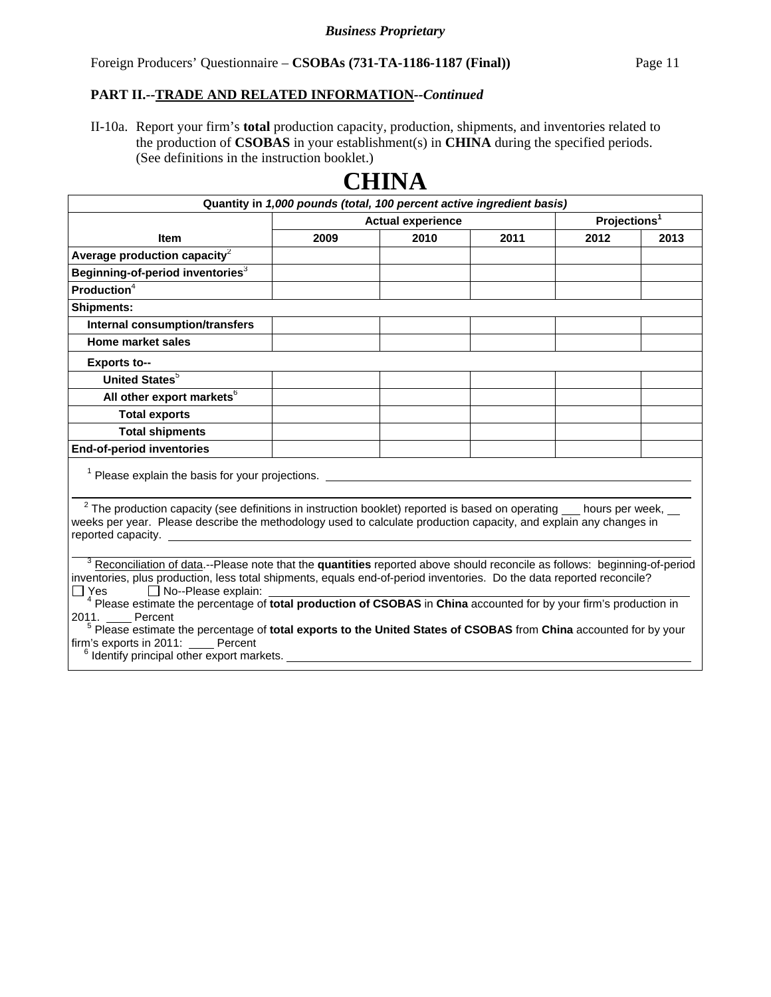II-10a. Report your firm's **total** production capacity, production, shipments, and inventories related to the production of **CSOBAS** in your establishment(s) in **CHINA** during the specified periods. (See definitions in the instruction booklet.)

| Quantity in 1,000 pounds (total, 100 percent active ingredient basis)                                                                                              |                          |      |      |                          |      |  |
|--------------------------------------------------------------------------------------------------------------------------------------------------------------------|--------------------------|------|------|--------------------------|------|--|
|                                                                                                                                                                    | <b>Actual experience</b> |      |      | Projections <sup>1</sup> |      |  |
| <b>Item</b>                                                                                                                                                        | 2009                     | 2010 | 2011 | 2012                     | 2013 |  |
| Average production capacity $2$                                                                                                                                    |                          |      |      |                          |      |  |
| Beginning-of-period inventories <sup>3</sup>                                                                                                                       |                          |      |      |                          |      |  |
| <b>Production</b> $4$                                                                                                                                              |                          |      |      |                          |      |  |
| <b>Shipments:</b>                                                                                                                                                  |                          |      |      |                          |      |  |
| Internal consumption/transfers                                                                                                                                     |                          |      |      |                          |      |  |
| Home market sales                                                                                                                                                  |                          |      |      |                          |      |  |
| <b>Exports to--</b>                                                                                                                                                |                          |      |      |                          |      |  |
| United States <sup>5</sup>                                                                                                                                         |                          |      |      |                          |      |  |
| All other export markets <sup>6</sup>                                                                                                                              |                          |      |      |                          |      |  |
| <b>Total exports</b>                                                                                                                                               |                          |      |      |                          |      |  |
| <b>Total shipments</b>                                                                                                                                             |                          |      |      |                          |      |  |
| <b>End-of-period inventories</b>                                                                                                                                   |                          |      |      |                          |      |  |
| $1$ Please explain the basis for your projections.                                                                                                                 |                          |      |      |                          |      |  |
|                                                                                                                                                                    |                          |      |      |                          |      |  |
| $2$ The production capacity (see definitions in instruction booklet) reported is based on operating $\_\_$ hours per week,                                         |                          |      |      |                          |      |  |
| weeks per year. Please describe the methodology used to calculate production capacity, and explain any changes in                                                  |                          |      |      |                          |      |  |
|                                                                                                                                                                    |                          |      |      |                          |      |  |
| <sup>3</sup> Reconciliation of data.--Please note that the quantities reported above should reconcile as follows: beginning-of-period                              |                          |      |      |                          |      |  |
| inventories, plus production, less total shipments, equals end-of-period inventories. Do the data reported reconcile?                                              |                          |      |      |                          |      |  |
| No--Please explain:<br>$\Box$ Yes<br><sup>4</sup> Please estimate the percentage of total production of CSOBAS in China accounted for by your firm's production in |                          |      |      |                          |      |  |
| 2011.<br>Percent                                                                                                                                                   |                          |      |      |                          |      |  |
| <sup>5</sup> Please estimate the percentage of total exports to the United States of CSOBAS from China accounted for by your                                       |                          |      |      |                          |      |  |
| firm's exports in 2011: Percent<br><sup>6</sup> Identify principal other export markets.                                                                           |                          |      |      |                          |      |  |
|                                                                                                                                                                    |                          |      |      |                          |      |  |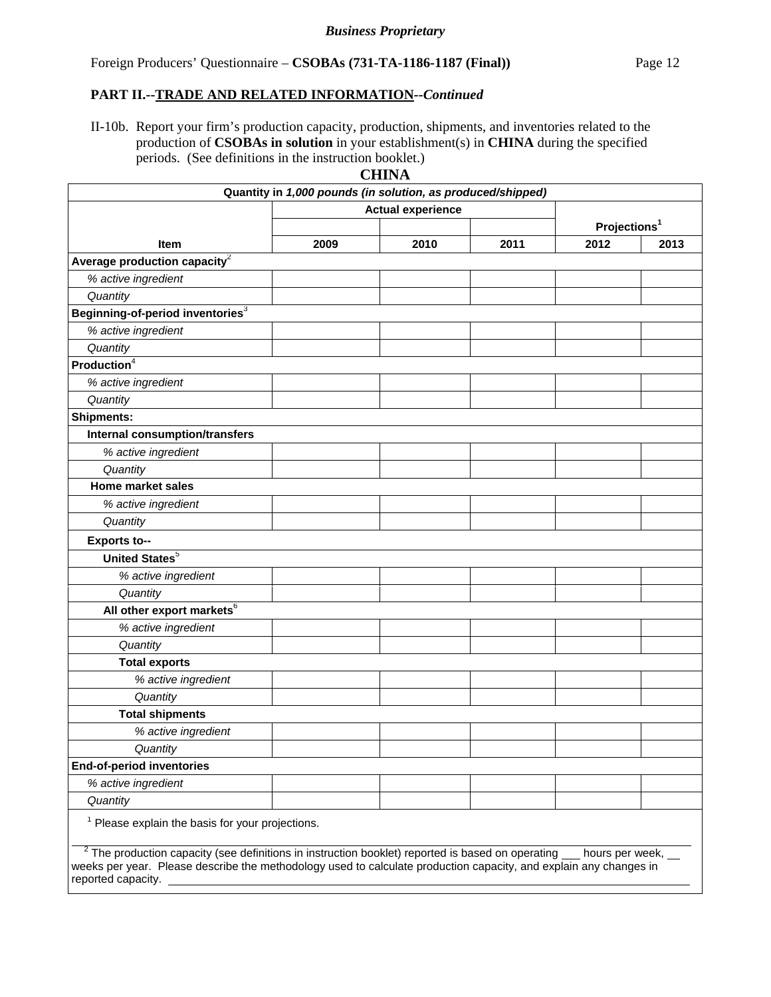II-10b. Report your firm's production capacity, production, shipments, and inventories related to the production of **CSOBAs in solution** in your establishment(s) in **CHINA** during the specified periods. (See definitions in the instruction booklet.) **CHINA**

|                                                                                                                                                                                                                          |                                                             | CHINA                    |      |                          |      |
|--------------------------------------------------------------------------------------------------------------------------------------------------------------------------------------------------------------------------|-------------------------------------------------------------|--------------------------|------|--------------------------|------|
|                                                                                                                                                                                                                          | Quantity in 1,000 pounds (in solution, as produced/shipped) |                          |      |                          |      |
|                                                                                                                                                                                                                          |                                                             | <b>Actual experience</b> |      | Projections <sup>1</sup> |      |
| <b>Item</b>                                                                                                                                                                                                              | 2009                                                        | 2010                     | 2011 | 2012                     | 2013 |
| Average production capacity <sup>2</sup>                                                                                                                                                                                 |                                                             |                          |      |                          |      |
| % active ingredient                                                                                                                                                                                                      |                                                             |                          |      |                          |      |
| Quantity                                                                                                                                                                                                                 |                                                             |                          |      |                          |      |
| Beginning-of-period inventories <sup>3</sup>                                                                                                                                                                             |                                                             |                          |      |                          |      |
| % active ingredient                                                                                                                                                                                                      |                                                             |                          |      |                          |      |
| Quantity                                                                                                                                                                                                                 |                                                             |                          |      |                          |      |
| Production <sup>4</sup>                                                                                                                                                                                                  |                                                             |                          |      |                          |      |
| % active ingredient                                                                                                                                                                                                      |                                                             |                          |      |                          |      |
| Quantity                                                                                                                                                                                                                 |                                                             |                          |      |                          |      |
| <b>Shipments:</b>                                                                                                                                                                                                        |                                                             |                          |      |                          |      |
| Internal consumption/transfers                                                                                                                                                                                           |                                                             |                          |      |                          |      |
| % active ingredient                                                                                                                                                                                                      |                                                             |                          |      |                          |      |
| Quantity                                                                                                                                                                                                                 |                                                             |                          |      |                          |      |
| <b>Home market sales</b>                                                                                                                                                                                                 |                                                             |                          |      |                          |      |
| % active ingredient                                                                                                                                                                                                      |                                                             |                          |      |                          |      |
| Quantity                                                                                                                                                                                                                 |                                                             |                          |      |                          |      |
| <b>Exports to--</b>                                                                                                                                                                                                      |                                                             |                          |      |                          |      |
| United States <sup>5</sup>                                                                                                                                                                                               |                                                             |                          |      |                          |      |
| % active ingredient                                                                                                                                                                                                      |                                                             |                          |      |                          |      |
| Quantity                                                                                                                                                                                                                 |                                                             |                          |      |                          |      |
| All other export markets <sup>6</sup>                                                                                                                                                                                    |                                                             |                          |      |                          |      |
| % active ingredient                                                                                                                                                                                                      |                                                             |                          |      |                          |      |
| Quantity                                                                                                                                                                                                                 |                                                             |                          |      |                          |      |
| <b>Total exports</b>                                                                                                                                                                                                     |                                                             |                          |      |                          |      |
| % active ingredient                                                                                                                                                                                                      |                                                             |                          |      |                          |      |
| Quantity                                                                                                                                                                                                                 |                                                             |                          |      |                          |      |
| <b>Total shipments</b>                                                                                                                                                                                                   |                                                             |                          |      |                          |      |
| % active ingredient                                                                                                                                                                                                      |                                                             |                          |      |                          |      |
| Quantity                                                                                                                                                                                                                 |                                                             |                          |      |                          |      |
| End-of-period inventories                                                                                                                                                                                                |                                                             |                          |      |                          |      |
| % active ingredient                                                                                                                                                                                                      |                                                             |                          |      |                          |      |
| Quantity                                                                                                                                                                                                                 |                                                             |                          |      |                          |      |
| $1$ Please explain the basis for your projections.                                                                                                                                                                       |                                                             |                          |      |                          |      |
|                                                                                                                                                                                                                          |                                                             |                          |      |                          |      |
| $2$ The production capacity (see definitions in instruction booklet) reported is based on operating<br>weeks per year. Please describe the methodology used to calculate production capacity, and explain any changes in |                                                             |                          |      | hours per week,          |      |
| reported capacity.                                                                                                                                                                                                       |                                                             |                          |      |                          |      |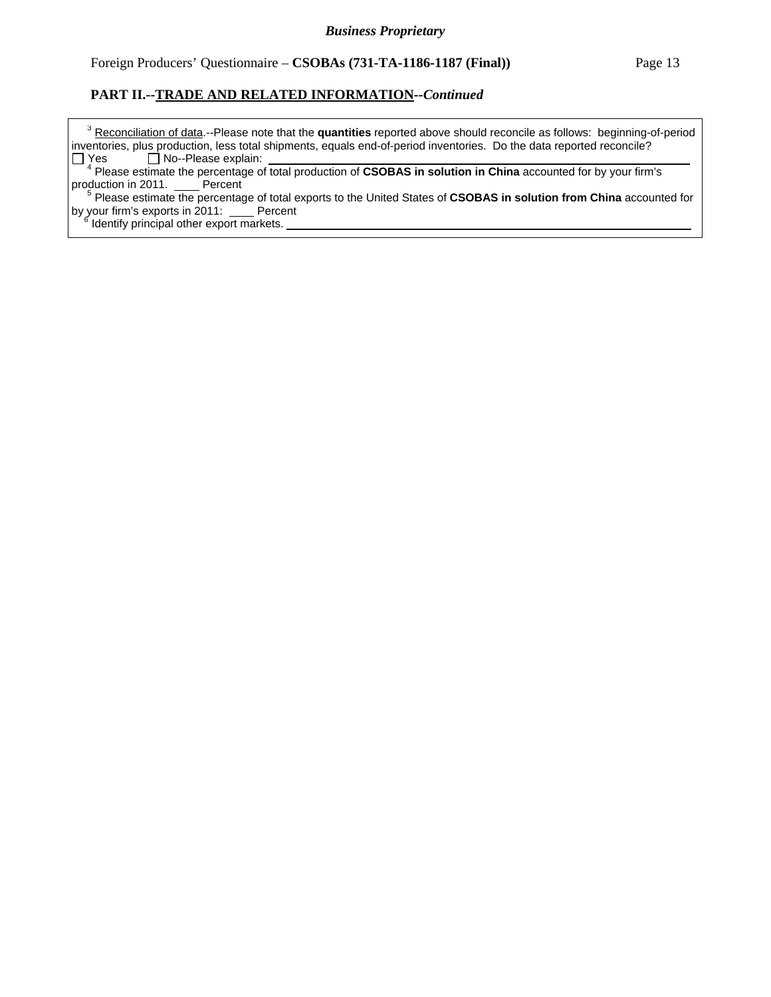<sup>3</sup> Reconciliation of data.--Please note that the quantities reported above should reconcile as follows: beginning-of-period inventories, plus production, less total shipments, equals end-of-period inventories. Do the data reported reconcile?  $Yes \Box No-Please explain:$ 

 <sup>4</sup> Please estimate the percentage of total production of **CSOBAS in solution in China** accounted for by your firm's production in 2011. Percent

 <sup>5</sup> Please estimate the percentage of total exports to the United States of **CSOBAS in solution from China** accounted for by your firm's exports in 2011: Percent

 $\frac{1}{6}$  Identify principal other export markets.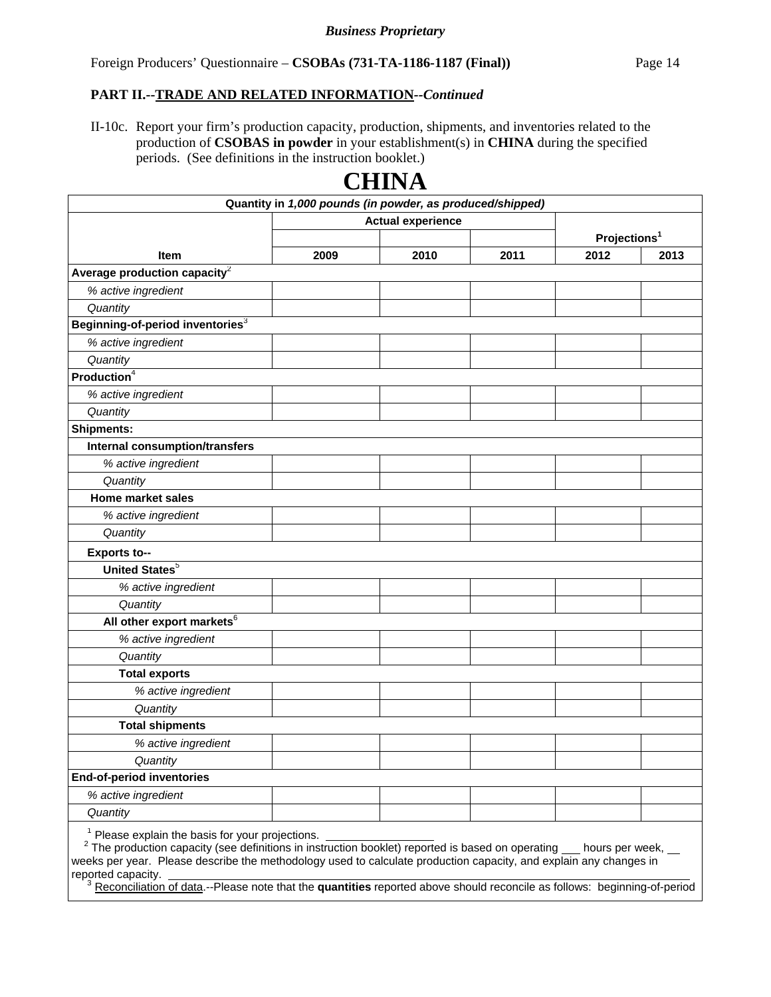II-10c. Report your firm's production capacity, production, shipments, and inventories related to the production of **CSOBAS in powder** in your establishment(s) in **CHINA** during the specified periods. (See definitions in the instruction booklet.)

**CHINA**

|                                                                                                                                                                                                                                                                                                                                              | Quantity in 1,000 pounds (in powder, as produced/shipped) |                          |      |                          |      |
|----------------------------------------------------------------------------------------------------------------------------------------------------------------------------------------------------------------------------------------------------------------------------------------------------------------------------------------------|-----------------------------------------------------------|--------------------------|------|--------------------------|------|
|                                                                                                                                                                                                                                                                                                                                              |                                                           | <b>Actual experience</b> |      |                          |      |
|                                                                                                                                                                                                                                                                                                                                              |                                                           |                          |      | Projections <sup>1</sup> |      |
| <b>Item</b>                                                                                                                                                                                                                                                                                                                                  | 2009                                                      | 2010                     | 2011 | 2012                     | 2013 |
| Average production capacity <sup>2</sup>                                                                                                                                                                                                                                                                                                     |                                                           |                          |      |                          |      |
| % active ingredient                                                                                                                                                                                                                                                                                                                          |                                                           |                          |      |                          |      |
| Quantity                                                                                                                                                                                                                                                                                                                                     |                                                           |                          |      |                          |      |
| Beginning-of-period inventories <sup>3</sup>                                                                                                                                                                                                                                                                                                 |                                                           |                          |      |                          |      |
| % active ingredient                                                                                                                                                                                                                                                                                                                          |                                                           |                          |      |                          |      |
| Quantity                                                                                                                                                                                                                                                                                                                                     |                                                           |                          |      |                          |      |
| <b>Production</b> <sup>4</sup>                                                                                                                                                                                                                                                                                                               |                                                           |                          |      |                          |      |
| % active ingredient                                                                                                                                                                                                                                                                                                                          |                                                           |                          |      |                          |      |
| Quantity                                                                                                                                                                                                                                                                                                                                     |                                                           |                          |      |                          |      |
| <b>Shipments:</b>                                                                                                                                                                                                                                                                                                                            |                                                           |                          |      |                          |      |
| <b>Internal consumption/transfers</b>                                                                                                                                                                                                                                                                                                        |                                                           |                          |      |                          |      |
| % active ingredient                                                                                                                                                                                                                                                                                                                          |                                                           |                          |      |                          |      |
| Quantity                                                                                                                                                                                                                                                                                                                                     |                                                           |                          |      |                          |      |
| <b>Home market sales</b>                                                                                                                                                                                                                                                                                                                     |                                                           |                          |      |                          |      |
| % active ingredient                                                                                                                                                                                                                                                                                                                          |                                                           |                          |      |                          |      |
| Quantity                                                                                                                                                                                                                                                                                                                                     |                                                           |                          |      |                          |      |
| <b>Exports to--</b>                                                                                                                                                                                                                                                                                                                          |                                                           |                          |      |                          |      |
| <b>United States<sup>5</sup></b>                                                                                                                                                                                                                                                                                                             |                                                           |                          |      |                          |      |
| % active ingredient                                                                                                                                                                                                                                                                                                                          |                                                           |                          |      |                          |      |
| Quantity                                                                                                                                                                                                                                                                                                                                     |                                                           |                          |      |                          |      |
| All other export markets <sup>6</sup>                                                                                                                                                                                                                                                                                                        |                                                           |                          |      |                          |      |
| % active ingredient                                                                                                                                                                                                                                                                                                                          |                                                           |                          |      |                          |      |
| Quantity                                                                                                                                                                                                                                                                                                                                     |                                                           |                          |      |                          |      |
| <b>Total exports</b>                                                                                                                                                                                                                                                                                                                         |                                                           |                          |      |                          |      |
| % active ingredient                                                                                                                                                                                                                                                                                                                          |                                                           |                          |      |                          |      |
| Quantity                                                                                                                                                                                                                                                                                                                                     |                                                           |                          |      |                          |      |
| <b>Total shipments</b>                                                                                                                                                                                                                                                                                                                       |                                                           |                          |      |                          |      |
| % active ingredient                                                                                                                                                                                                                                                                                                                          |                                                           |                          |      |                          |      |
| Quantity                                                                                                                                                                                                                                                                                                                                     |                                                           |                          |      |                          |      |
| <b>End-of-period inventories</b>                                                                                                                                                                                                                                                                                                             |                                                           |                          |      |                          |      |
| % active ingredient                                                                                                                                                                                                                                                                                                                          |                                                           |                          |      |                          |      |
| Quantity                                                                                                                                                                                                                                                                                                                                     |                                                           |                          |      |                          |      |
| <sup>1</sup> Please explain the basis for your projections.<br><sup>2</sup> The production capacity (see definitions in instruction booklet) reported is based on operating __ hours per week, __<br>weeks per year. Please describe the methodology used to calculate production capacity, and explain any changes in<br>reported capacity. |                                                           |                          |      |                          |      |

#### <sup>3</sup> Reconciliation of data.--Please note that the quantities reported above should reconcile as follows: beginning-of-period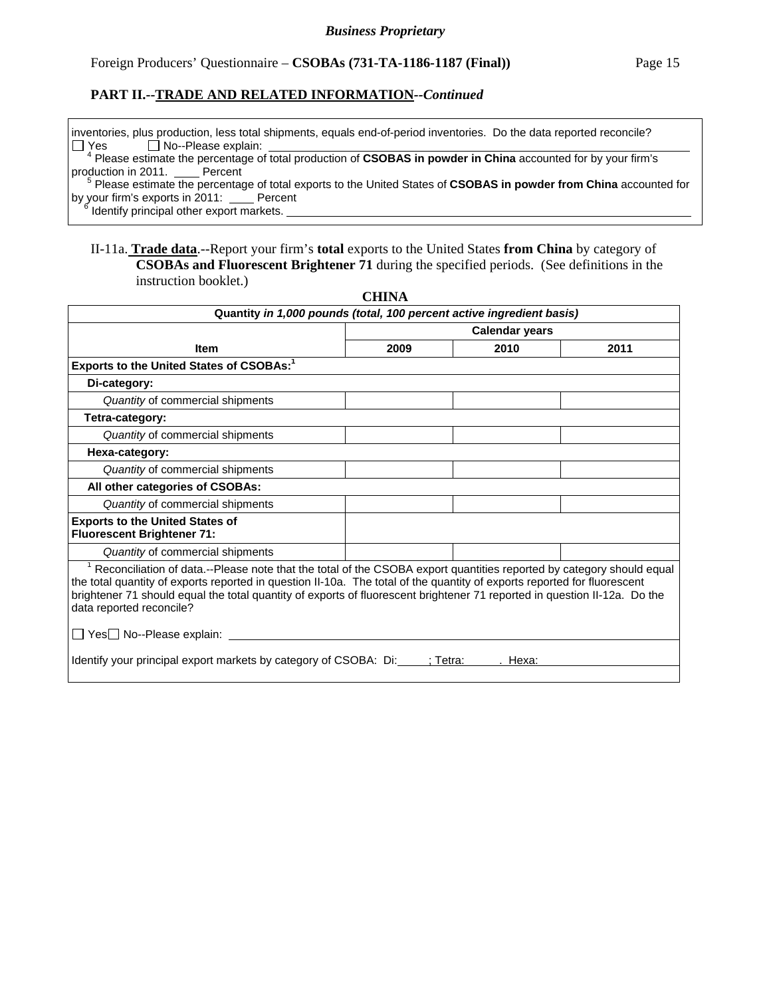#### Foreign Producers' Questionnaire – **CSOBAs (731-TA-1186-1187 (Final))** Page 15

#### **PART II.--TRADE AND RELATED INFORMATION***--Continued*

inventories, plus production, less total shipments, equals end-of-period inventories. Do the data reported reconcile?  $Yes \Box No-Please explain:$ 

<sup>4</sup> Please estimate the percentage of total production of CSOBAS in powder in China accounted for by your firm's production in 2011. Percent

 $\frac{1}{2}$  Please estimate the percentage of total exports to the United States of **CSOBAS in powder from China** accounted for by your firm's exports in 2011: Percent <sup>6</sup>

Identify principal other export markets.

#### II-11a. **Trade data**.--Report your firm's **total** exports to the United States **from China** by category of **CSOBAs and Fluorescent Brightener 71** during the specified periods. (See definitions in the instruction booklet.)

|                                                                                                                                                                                                                                                                                                                                                                                                                        | сппи                  |                    |      |  |  |  |  |
|------------------------------------------------------------------------------------------------------------------------------------------------------------------------------------------------------------------------------------------------------------------------------------------------------------------------------------------------------------------------------------------------------------------------|-----------------------|--------------------|------|--|--|--|--|
| Quantity in 1,000 pounds (total, 100 percent active ingredient basis)                                                                                                                                                                                                                                                                                                                                                  |                       |                    |      |  |  |  |  |
|                                                                                                                                                                                                                                                                                                                                                                                                                        | <b>Calendar years</b> |                    |      |  |  |  |  |
| <b>Item</b>                                                                                                                                                                                                                                                                                                                                                                                                            | 2009                  | 2010               | 2011 |  |  |  |  |
| Exports to the United States of CSOBAs: <sup>1</sup>                                                                                                                                                                                                                                                                                                                                                                   |                       |                    |      |  |  |  |  |
| Di-category:                                                                                                                                                                                                                                                                                                                                                                                                           |                       |                    |      |  |  |  |  |
| Quantity of commercial shipments                                                                                                                                                                                                                                                                                                                                                                                       |                       |                    |      |  |  |  |  |
| Tetra-category:                                                                                                                                                                                                                                                                                                                                                                                                        |                       |                    |      |  |  |  |  |
| Quantity of commercial shipments                                                                                                                                                                                                                                                                                                                                                                                       |                       |                    |      |  |  |  |  |
| Hexa-category:                                                                                                                                                                                                                                                                                                                                                                                                         |                       |                    |      |  |  |  |  |
| Quantity of commercial shipments                                                                                                                                                                                                                                                                                                                                                                                       |                       |                    |      |  |  |  |  |
| All other categories of CSOBAs:                                                                                                                                                                                                                                                                                                                                                                                        |                       |                    |      |  |  |  |  |
| Quantity of commercial shipments                                                                                                                                                                                                                                                                                                                                                                                       |                       |                    |      |  |  |  |  |
| <b>Exports to the United States of</b><br><b>Fluorescent Brightener 71:</b>                                                                                                                                                                                                                                                                                                                                            |                       |                    |      |  |  |  |  |
| Quantity of commercial shipments                                                                                                                                                                                                                                                                                                                                                                                       |                       |                    |      |  |  |  |  |
| <sup>1</sup> Reconciliation of data.--Please note that the total of the CSOBA export quantities reported by category should equal<br>the total quantity of exports reported in question II-10a. The total of the quantity of exports reported for fluorescent<br>brightener 71 should equal the total quantity of exports of fluorescent brightener 71 reported in question II-12a. Do the<br>data reported reconcile? |                       |                    |      |  |  |  |  |
| □ Yes No--Please explain: <u>University</u>                                                                                                                                                                                                                                                                                                                                                                            |                       |                    |      |  |  |  |  |
| Identify your principal export markets by category of CSOBA: Di:                                                                                                                                                                                                                                                                                                                                                       |                       | :Tetra:<br>. Hexa: |      |  |  |  |  |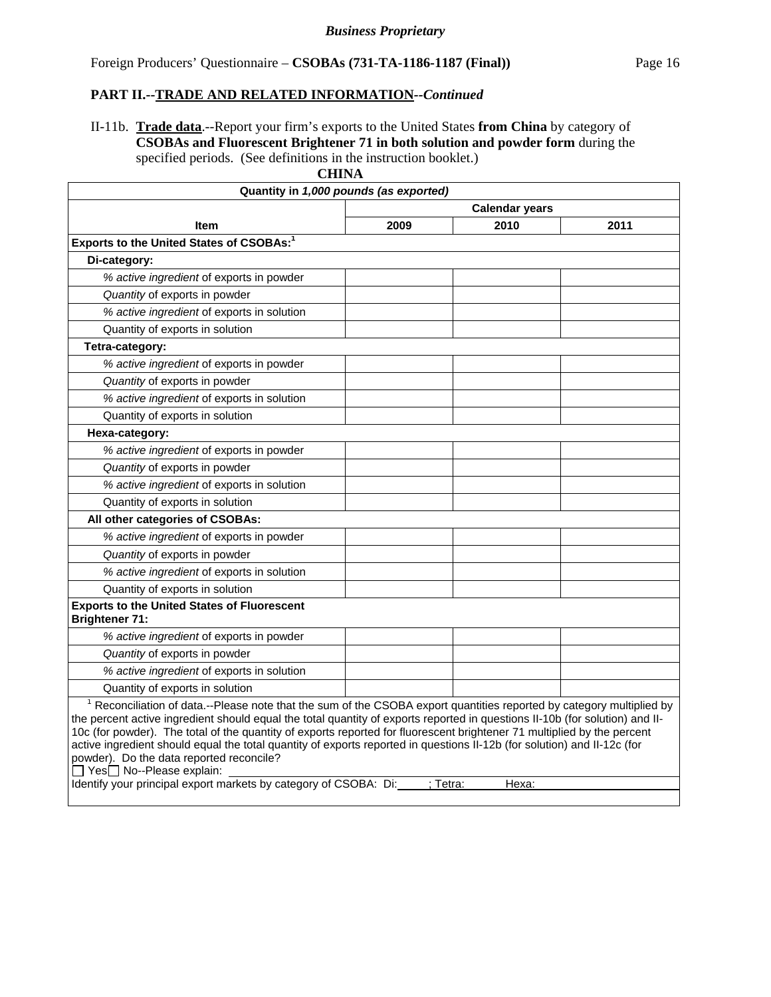II-11b. **Trade data**.--Report your firm's exports to the United States **from China** by category of **CSOBAs and Fluorescent Brightener 71 in both solution and powder form** during the specified periods. (See definitions in the instruction booklet.)

| Quantity in 1,000 pounds (as exported)                                                                                                                                                                                                                                                                                                                                                                                                                                                                                                                                                                                                                                                                |      |                       |      |  |  |  |
|-------------------------------------------------------------------------------------------------------------------------------------------------------------------------------------------------------------------------------------------------------------------------------------------------------------------------------------------------------------------------------------------------------------------------------------------------------------------------------------------------------------------------------------------------------------------------------------------------------------------------------------------------------------------------------------------------------|------|-----------------------|------|--|--|--|
|                                                                                                                                                                                                                                                                                                                                                                                                                                                                                                                                                                                                                                                                                                       |      | <b>Calendar years</b> |      |  |  |  |
| <b>Item</b>                                                                                                                                                                                                                                                                                                                                                                                                                                                                                                                                                                                                                                                                                           | 2009 | 2010                  | 2011 |  |  |  |
| Exports to the United States of CSOBAs: <sup>1</sup>                                                                                                                                                                                                                                                                                                                                                                                                                                                                                                                                                                                                                                                  |      |                       |      |  |  |  |
| Di-category:                                                                                                                                                                                                                                                                                                                                                                                                                                                                                                                                                                                                                                                                                          |      |                       |      |  |  |  |
| % active ingredient of exports in powder                                                                                                                                                                                                                                                                                                                                                                                                                                                                                                                                                                                                                                                              |      |                       |      |  |  |  |
| Quantity of exports in powder                                                                                                                                                                                                                                                                                                                                                                                                                                                                                                                                                                                                                                                                         |      |                       |      |  |  |  |
| % active ingredient of exports in solution                                                                                                                                                                                                                                                                                                                                                                                                                                                                                                                                                                                                                                                            |      |                       |      |  |  |  |
| Quantity of exports in solution                                                                                                                                                                                                                                                                                                                                                                                                                                                                                                                                                                                                                                                                       |      |                       |      |  |  |  |
| Tetra-category:                                                                                                                                                                                                                                                                                                                                                                                                                                                                                                                                                                                                                                                                                       |      |                       |      |  |  |  |
| % active ingredient of exports in powder                                                                                                                                                                                                                                                                                                                                                                                                                                                                                                                                                                                                                                                              |      |                       |      |  |  |  |
| Quantity of exports in powder                                                                                                                                                                                                                                                                                                                                                                                                                                                                                                                                                                                                                                                                         |      |                       |      |  |  |  |
| % active ingredient of exports in solution                                                                                                                                                                                                                                                                                                                                                                                                                                                                                                                                                                                                                                                            |      |                       |      |  |  |  |
| Quantity of exports in solution                                                                                                                                                                                                                                                                                                                                                                                                                                                                                                                                                                                                                                                                       |      |                       |      |  |  |  |
| Hexa-category:                                                                                                                                                                                                                                                                                                                                                                                                                                                                                                                                                                                                                                                                                        |      |                       |      |  |  |  |
| % active ingredient of exports in powder                                                                                                                                                                                                                                                                                                                                                                                                                                                                                                                                                                                                                                                              |      |                       |      |  |  |  |
| Quantity of exports in powder                                                                                                                                                                                                                                                                                                                                                                                                                                                                                                                                                                                                                                                                         |      |                       |      |  |  |  |
| % active ingredient of exports in solution                                                                                                                                                                                                                                                                                                                                                                                                                                                                                                                                                                                                                                                            |      |                       |      |  |  |  |
| Quantity of exports in solution                                                                                                                                                                                                                                                                                                                                                                                                                                                                                                                                                                                                                                                                       |      |                       |      |  |  |  |
| All other categories of CSOBAs:                                                                                                                                                                                                                                                                                                                                                                                                                                                                                                                                                                                                                                                                       |      |                       |      |  |  |  |
| % active ingredient of exports in powder                                                                                                                                                                                                                                                                                                                                                                                                                                                                                                                                                                                                                                                              |      |                       |      |  |  |  |
| Quantity of exports in powder                                                                                                                                                                                                                                                                                                                                                                                                                                                                                                                                                                                                                                                                         |      |                       |      |  |  |  |
| % active ingredient of exports in solution                                                                                                                                                                                                                                                                                                                                                                                                                                                                                                                                                                                                                                                            |      |                       |      |  |  |  |
| Quantity of exports in solution                                                                                                                                                                                                                                                                                                                                                                                                                                                                                                                                                                                                                                                                       |      |                       |      |  |  |  |
| <b>Exports to the United States of Fluorescent</b><br><b>Brightener 71:</b>                                                                                                                                                                                                                                                                                                                                                                                                                                                                                                                                                                                                                           |      |                       |      |  |  |  |
| % active ingredient of exports in powder                                                                                                                                                                                                                                                                                                                                                                                                                                                                                                                                                                                                                                                              |      |                       |      |  |  |  |
| Quantity of exports in powder                                                                                                                                                                                                                                                                                                                                                                                                                                                                                                                                                                                                                                                                         |      |                       |      |  |  |  |
| % active ingredient of exports in solution                                                                                                                                                                                                                                                                                                                                                                                                                                                                                                                                                                                                                                                            |      |                       |      |  |  |  |
| Quantity of exports in solution                                                                                                                                                                                                                                                                                                                                                                                                                                                                                                                                                                                                                                                                       |      |                       |      |  |  |  |
| <sup>1</sup> Reconciliation of data.--Please note that the sum of the CSOBA export quantities reported by category multiplied by<br>the percent active ingredient should equal the total quantity of exports reported in questions II-10b (for solution) and II-<br>10c (for powder). The total of the quantity of exports reported for fluorescent brightener 71 multiplied by the percent<br>active ingredient should equal the total quantity of exports reported in questions II-12b (for solution) and II-12c (for<br>powder). Do the data reported reconcile?<br>$\Box$ Yes $\Box$ No--Please explain:<br>Identify your principal export markets by category of CSOBA: Di:<br>: Tetra:<br>Hexa: |      |                       |      |  |  |  |
|                                                                                                                                                                                                                                                                                                                                                                                                                                                                                                                                                                                                                                                                                                       |      |                       |      |  |  |  |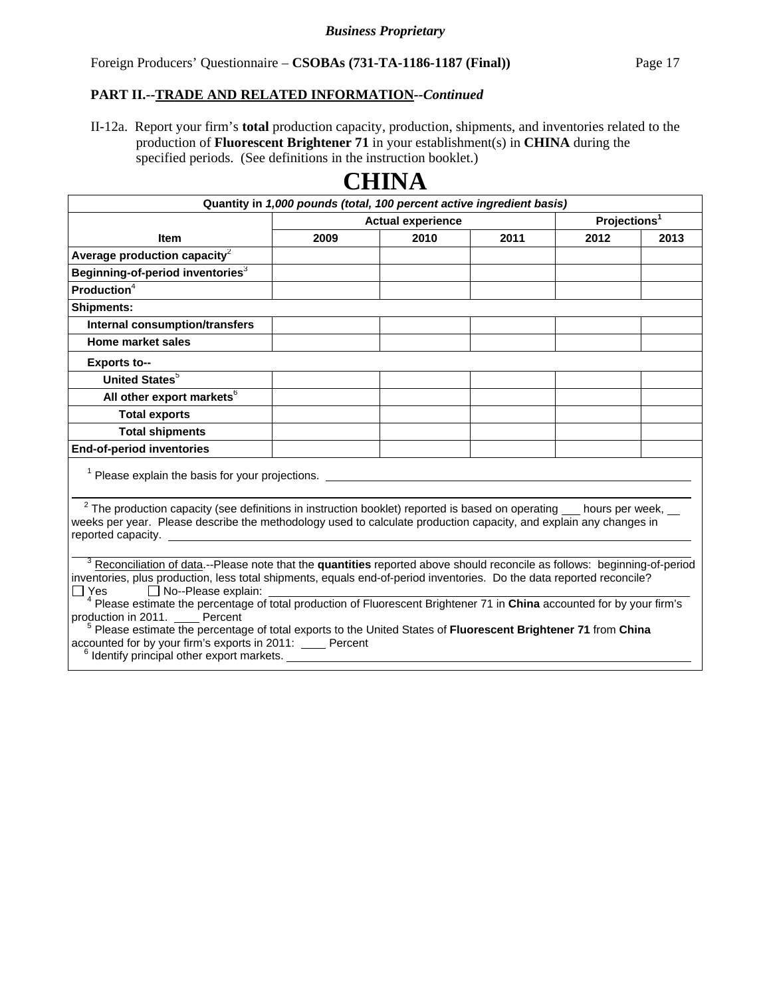II-12a. Report your firm's **total** production capacity, production, shipments, and inventories related to the production of **Fluorescent Brightener 71** in your establishment(s) in **CHINA** during the specified periods. (See definitions in the instruction booklet.)

| Quantity in 1,000 pounds (total, 100 percent active ingredient basis)                                                                                                                                                                                                                                                                                                                                                                                                                                                                                                                                                                                                                                                                                                                                                                                                                                                                                                                                                                                                                                                                                                                                               |                          |      |      |                          |      |  |
|---------------------------------------------------------------------------------------------------------------------------------------------------------------------------------------------------------------------------------------------------------------------------------------------------------------------------------------------------------------------------------------------------------------------------------------------------------------------------------------------------------------------------------------------------------------------------------------------------------------------------------------------------------------------------------------------------------------------------------------------------------------------------------------------------------------------------------------------------------------------------------------------------------------------------------------------------------------------------------------------------------------------------------------------------------------------------------------------------------------------------------------------------------------------------------------------------------------------|--------------------------|------|------|--------------------------|------|--|
|                                                                                                                                                                                                                                                                                                                                                                                                                                                                                                                                                                                                                                                                                                                                                                                                                                                                                                                                                                                                                                                                                                                                                                                                                     | <b>Actual experience</b> |      |      | Projections <sup>1</sup> |      |  |
| <b>Item</b>                                                                                                                                                                                                                                                                                                                                                                                                                                                                                                                                                                                                                                                                                                                                                                                                                                                                                                                                                                                                                                                                                                                                                                                                         | 2009                     | 2010 | 2011 | 2012                     | 2013 |  |
| Average production capacity $^2$                                                                                                                                                                                                                                                                                                                                                                                                                                                                                                                                                                                                                                                                                                                                                                                                                                                                                                                                                                                                                                                                                                                                                                                    |                          |      |      |                          |      |  |
| Beginning-of-period inventories <sup>3</sup>                                                                                                                                                                                                                                                                                                                                                                                                                                                                                                                                                                                                                                                                                                                                                                                                                                                                                                                                                                                                                                                                                                                                                                        |                          |      |      |                          |      |  |
| Production <sup>4</sup>                                                                                                                                                                                                                                                                                                                                                                                                                                                                                                                                                                                                                                                                                                                                                                                                                                                                                                                                                                                                                                                                                                                                                                                             |                          |      |      |                          |      |  |
| <b>Shipments:</b>                                                                                                                                                                                                                                                                                                                                                                                                                                                                                                                                                                                                                                                                                                                                                                                                                                                                                                                                                                                                                                                                                                                                                                                                   |                          |      |      |                          |      |  |
| <b>Internal consumption/transfers</b>                                                                                                                                                                                                                                                                                                                                                                                                                                                                                                                                                                                                                                                                                                                                                                                                                                                                                                                                                                                                                                                                                                                                                                               |                          |      |      |                          |      |  |
| Home market sales                                                                                                                                                                                                                                                                                                                                                                                                                                                                                                                                                                                                                                                                                                                                                                                                                                                                                                                                                                                                                                                                                                                                                                                                   |                          |      |      |                          |      |  |
| <b>Exports to--</b>                                                                                                                                                                                                                                                                                                                                                                                                                                                                                                                                                                                                                                                                                                                                                                                                                                                                                                                                                                                                                                                                                                                                                                                                 |                          |      |      |                          |      |  |
| <b>United States</b> <sup>5</sup>                                                                                                                                                                                                                                                                                                                                                                                                                                                                                                                                                                                                                                                                                                                                                                                                                                                                                                                                                                                                                                                                                                                                                                                   |                          |      |      |                          |      |  |
| All other export markets <sup>6</sup>                                                                                                                                                                                                                                                                                                                                                                                                                                                                                                                                                                                                                                                                                                                                                                                                                                                                                                                                                                                                                                                                                                                                                                               |                          |      |      |                          |      |  |
| <b>Total exports</b>                                                                                                                                                                                                                                                                                                                                                                                                                                                                                                                                                                                                                                                                                                                                                                                                                                                                                                                                                                                                                                                                                                                                                                                                |                          |      |      |                          |      |  |
| <b>Total shipments</b>                                                                                                                                                                                                                                                                                                                                                                                                                                                                                                                                                                                                                                                                                                                                                                                                                                                                                                                                                                                                                                                                                                                                                                                              |                          |      |      |                          |      |  |
| <b>End-of-period inventories</b>                                                                                                                                                                                                                                                                                                                                                                                                                                                                                                                                                                                                                                                                                                                                                                                                                                                                                                                                                                                                                                                                                                                                                                                    |                          |      |      |                          |      |  |
| <sup>1</sup> Please explain the basis for your projections.                                                                                                                                                                                                                                                                                                                                                                                                                                                                                                                                                                                                                                                                                                                                                                                                                                                                                                                                                                                                                                                                                                                                                         |                          |      |      |                          |      |  |
| $2$ The production capacity (see definitions in instruction booklet) reported is based on operating $\_\_$ hours per week, $\_\_$<br>weeks per year. Please describe the methodology used to calculate production capacity, and explain any changes in<br>reported capacity. The contract of the contract of the contract of the contract of the contract of the contract of the contract of the contract of the contract of the contract of the contract of the contract of the contrac<br><sup>3</sup> Reconciliation of data.--Please note that the quantities reported above should reconcile as follows: beginning-of-period<br>inventories, plus production, less total shipments, equals end-of-period inventories. Do the data reported reconcile?<br>No--Please explain:<br>$\Box$ Yes<br><sup>4</sup> Please estimate the percentage of total production of Fluorescent Brightener 71 in China accounted for by your firm's<br>production in 2011. Percent<br><sup>5</sup> Please estimate the percentage of total exports to the United States of Fluorescent Brightener 71 from China<br>accounted for by your firm's exports in 2011: Percent<br><sup>6</sup> Identify principal other export markets. |                          |      |      |                          |      |  |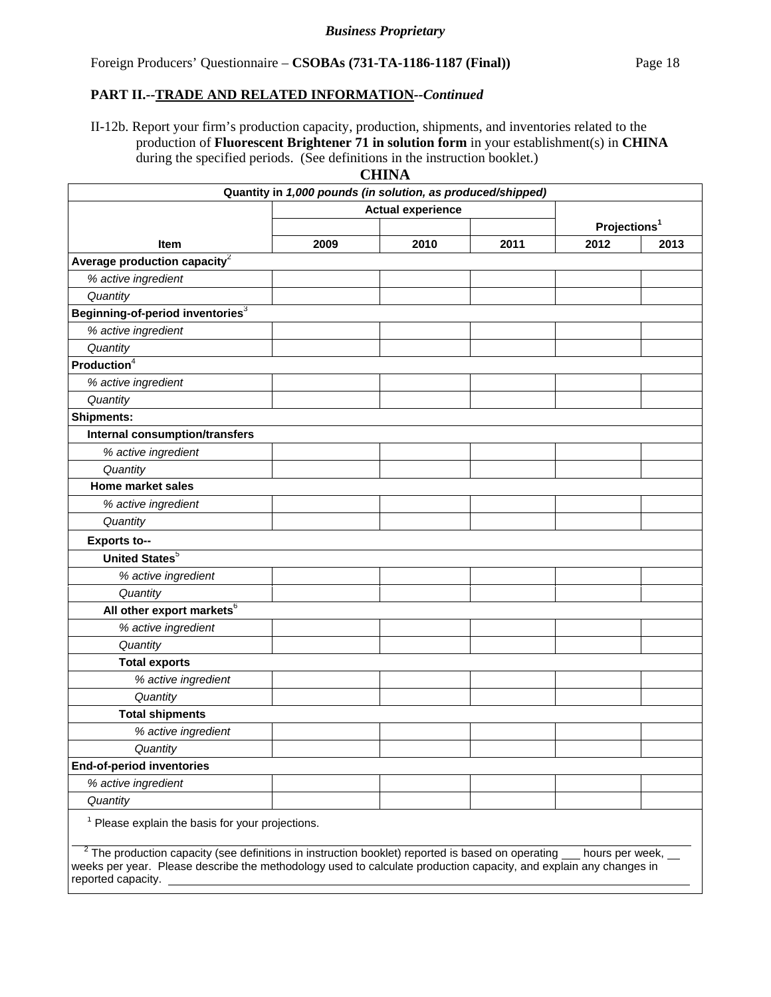II-12b. Report your firm's production capacity, production, shipments, and inventories related to the production of **Fluorescent Brightener 71 in solution form** in your establishment(s) in **CHINA** during the specified periods. (See definitions in the instruction booklet.)

|--|

|                                                                                                                                                                                                                                                                       | Quantity in 1,000 pounds (in solution, as produced/shipped) |                          |      |                          |      |
|-----------------------------------------------------------------------------------------------------------------------------------------------------------------------------------------------------------------------------------------------------------------------|-------------------------------------------------------------|--------------------------|------|--------------------------|------|
|                                                                                                                                                                                                                                                                       |                                                             | <b>Actual experience</b> |      |                          |      |
|                                                                                                                                                                                                                                                                       |                                                             |                          |      | Projections <sup>1</sup> |      |
| <b>Item</b>                                                                                                                                                                                                                                                           | 2009                                                        | 2010                     | 2011 | 2012                     | 2013 |
| Average production capacity $2$                                                                                                                                                                                                                                       |                                                             |                          |      |                          |      |
| % active ingredient                                                                                                                                                                                                                                                   |                                                             |                          |      |                          |      |
| Quantity                                                                                                                                                                                                                                                              |                                                             |                          |      |                          |      |
| Beginning-of-period inventories <sup>3</sup>                                                                                                                                                                                                                          |                                                             |                          |      |                          |      |
| % active ingredient                                                                                                                                                                                                                                                   |                                                             |                          |      |                          |      |
| Quantity                                                                                                                                                                                                                                                              |                                                             |                          |      |                          |      |
| Production <sup>4</sup>                                                                                                                                                                                                                                               |                                                             |                          |      |                          |      |
| % active ingredient                                                                                                                                                                                                                                                   |                                                             |                          |      |                          |      |
| Quantity                                                                                                                                                                                                                                                              |                                                             |                          |      |                          |      |
| <b>Shipments:</b>                                                                                                                                                                                                                                                     |                                                             |                          |      |                          |      |
| <b>Internal consumption/transfers</b>                                                                                                                                                                                                                                 |                                                             |                          |      |                          |      |
| % active ingredient                                                                                                                                                                                                                                                   |                                                             |                          |      |                          |      |
| Quantity                                                                                                                                                                                                                                                              |                                                             |                          |      |                          |      |
| <b>Home market sales</b>                                                                                                                                                                                                                                              |                                                             |                          |      |                          |      |
| % active ingredient                                                                                                                                                                                                                                                   |                                                             |                          |      |                          |      |
| Quantity                                                                                                                                                                                                                                                              |                                                             |                          |      |                          |      |
| <b>Exports to--</b>                                                                                                                                                                                                                                                   |                                                             |                          |      |                          |      |
| <b>United States</b> <sup>5</sup>                                                                                                                                                                                                                                     |                                                             |                          |      |                          |      |
| % active ingredient                                                                                                                                                                                                                                                   |                                                             |                          |      |                          |      |
| Quantity                                                                                                                                                                                                                                                              |                                                             |                          |      |                          |      |
| All other export markets <sup>6</sup>                                                                                                                                                                                                                                 |                                                             |                          |      |                          |      |
| % active ingredient                                                                                                                                                                                                                                                   |                                                             |                          |      |                          |      |
| Quantity                                                                                                                                                                                                                                                              |                                                             |                          |      |                          |      |
| <b>Total exports</b>                                                                                                                                                                                                                                                  |                                                             |                          |      |                          |      |
| % active ingredient                                                                                                                                                                                                                                                   |                                                             |                          |      |                          |      |
| Quantity                                                                                                                                                                                                                                                              |                                                             |                          |      |                          |      |
| <b>Total shipments</b>                                                                                                                                                                                                                                                |                                                             |                          |      |                          |      |
| % active ingredient                                                                                                                                                                                                                                                   |                                                             |                          |      |                          |      |
| Quantity                                                                                                                                                                                                                                                              |                                                             |                          |      |                          |      |
| <b>End-of-period inventories</b>                                                                                                                                                                                                                                      |                                                             |                          |      |                          |      |
| % active ingredient                                                                                                                                                                                                                                                   |                                                             |                          |      |                          |      |
| Quantity                                                                                                                                                                                                                                                              |                                                             |                          |      |                          |      |
| <sup>1</sup> Please explain the basis for your projections.                                                                                                                                                                                                           |                                                             |                          |      |                          |      |
| $2$ The production capacity (see definitions in instruction booklet) reported is based on operating $\_\_$ hours per week,<br>weeks per year. Please describe the methodology used to calculate production capacity, and explain any changes in<br>reported capacity. |                                                             |                          |      |                          |      |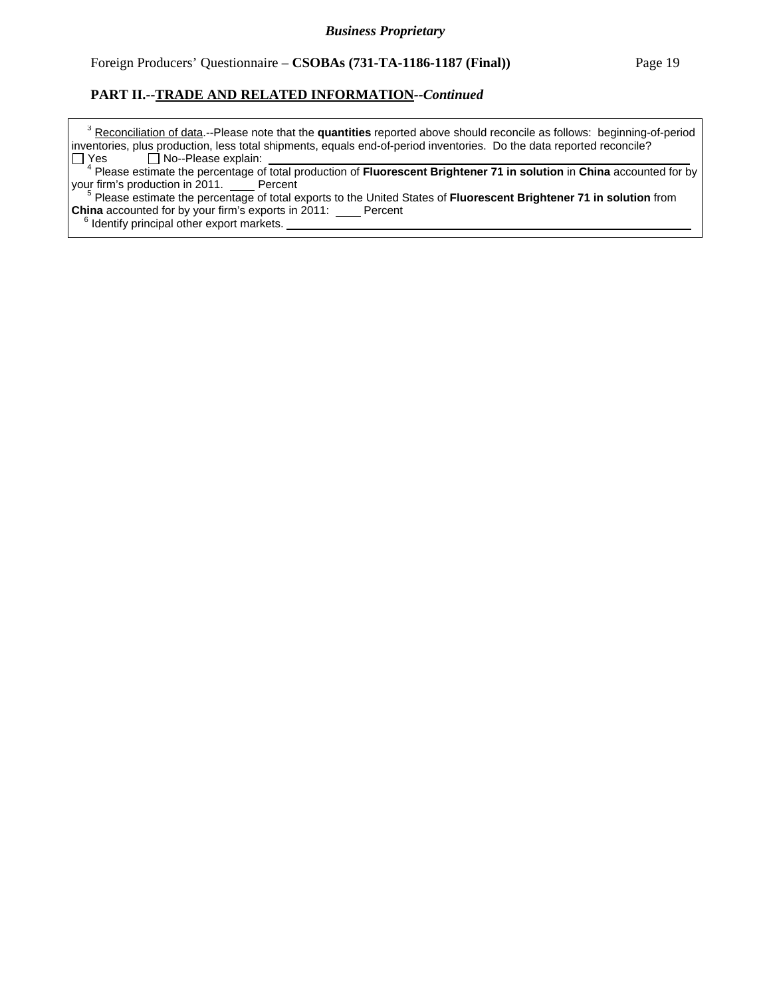<sup>3</sup> Reconciliation of data.--Please note that the quantities reported above should reconcile as follows: beginning-of-period inventories, plus production, less total shipments, equals end-of-period inventories. Do the data reported reconcile?  $Yes \Box No-Please explain:$ 

 <sup>4</sup> Please estimate the percentage of total production of **Fluorescent Brightener 71 in solution** in **China** accounted for by your firm's production in 2011. Percent

 <sup>5</sup> Please estimate the percentage of total exports to the United States of **Fluorescent Brightener 71 in solution** from **China** accounted for by your firm's exports in 2011: Percent

<sup>6</sup> Identify principal other export markets.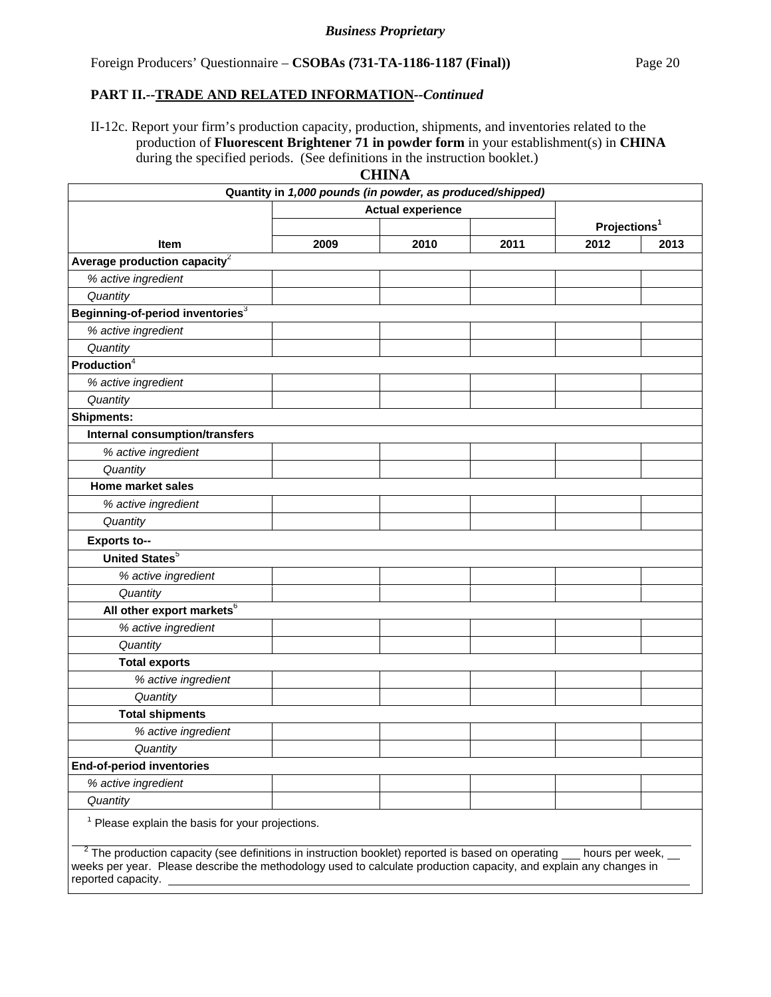II-12c. Report your firm's production capacity, production, shipments, and inventories related to the production of **Fluorescent Brightener 71 in powder form** in your establishment(s) in **CHINA** during the specified periods. (See definitions in the instruction booklet.)

|--|

|                                                                                                                                                                                                                                                                       | Quantity in 1,000 pounds (in powder, as produced/shipped) |                          |      |                          |      |
|-----------------------------------------------------------------------------------------------------------------------------------------------------------------------------------------------------------------------------------------------------------------------|-----------------------------------------------------------|--------------------------|------|--------------------------|------|
|                                                                                                                                                                                                                                                                       |                                                           | <b>Actual experience</b> |      |                          |      |
|                                                                                                                                                                                                                                                                       |                                                           |                          |      | Projections <sup>1</sup> |      |
| <b>Item</b>                                                                                                                                                                                                                                                           | 2009                                                      | 2010                     | 2011 | 2012                     | 2013 |
| Average production capacity $2$                                                                                                                                                                                                                                       |                                                           |                          |      |                          |      |
| % active ingredient                                                                                                                                                                                                                                                   |                                                           |                          |      |                          |      |
| Quantity                                                                                                                                                                                                                                                              |                                                           |                          |      |                          |      |
| Beginning-of-period inventories <sup>3</sup>                                                                                                                                                                                                                          |                                                           |                          |      |                          |      |
| % active ingredient                                                                                                                                                                                                                                                   |                                                           |                          |      |                          |      |
| Quantity                                                                                                                                                                                                                                                              |                                                           |                          |      |                          |      |
| Production <sup>4</sup>                                                                                                                                                                                                                                               |                                                           |                          |      |                          |      |
| % active ingredient                                                                                                                                                                                                                                                   |                                                           |                          |      |                          |      |
| Quantity                                                                                                                                                                                                                                                              |                                                           |                          |      |                          |      |
| <b>Shipments:</b>                                                                                                                                                                                                                                                     |                                                           |                          |      |                          |      |
| <b>Internal consumption/transfers</b>                                                                                                                                                                                                                                 |                                                           |                          |      |                          |      |
| % active ingredient                                                                                                                                                                                                                                                   |                                                           |                          |      |                          |      |
| Quantity                                                                                                                                                                                                                                                              |                                                           |                          |      |                          |      |
| <b>Home market sales</b>                                                                                                                                                                                                                                              |                                                           |                          |      |                          |      |
| % active ingredient                                                                                                                                                                                                                                                   |                                                           |                          |      |                          |      |
| Quantity                                                                                                                                                                                                                                                              |                                                           |                          |      |                          |      |
| <b>Exports to--</b>                                                                                                                                                                                                                                                   |                                                           |                          |      |                          |      |
| <b>United States</b> <sup>5</sup>                                                                                                                                                                                                                                     |                                                           |                          |      |                          |      |
| % active ingredient                                                                                                                                                                                                                                                   |                                                           |                          |      |                          |      |
| Quantity                                                                                                                                                                                                                                                              |                                                           |                          |      |                          |      |
| All other export markets <sup>6</sup>                                                                                                                                                                                                                                 |                                                           |                          |      |                          |      |
| % active ingredient                                                                                                                                                                                                                                                   |                                                           |                          |      |                          |      |
| Quantity                                                                                                                                                                                                                                                              |                                                           |                          |      |                          |      |
| <b>Total exports</b>                                                                                                                                                                                                                                                  |                                                           |                          |      |                          |      |
| % active ingredient                                                                                                                                                                                                                                                   |                                                           |                          |      |                          |      |
| Quantity                                                                                                                                                                                                                                                              |                                                           |                          |      |                          |      |
| <b>Total shipments</b>                                                                                                                                                                                                                                                |                                                           |                          |      |                          |      |
| % active ingredient                                                                                                                                                                                                                                                   |                                                           |                          |      |                          |      |
| Quantity                                                                                                                                                                                                                                                              |                                                           |                          |      |                          |      |
| <b>End-of-period inventories</b>                                                                                                                                                                                                                                      |                                                           |                          |      |                          |      |
| % active ingredient                                                                                                                                                                                                                                                   |                                                           |                          |      |                          |      |
| Quantity                                                                                                                                                                                                                                                              |                                                           |                          |      |                          |      |
| $1$ Please explain the basis for your projections.                                                                                                                                                                                                                    |                                                           |                          |      |                          |      |
| $2$ The production capacity (see definitions in instruction booklet) reported is based on operating $\_\_$ hours per week,<br>weeks per year. Please describe the methodology used to calculate production capacity, and explain any changes in<br>reported capacity. |                                                           |                          |      |                          |      |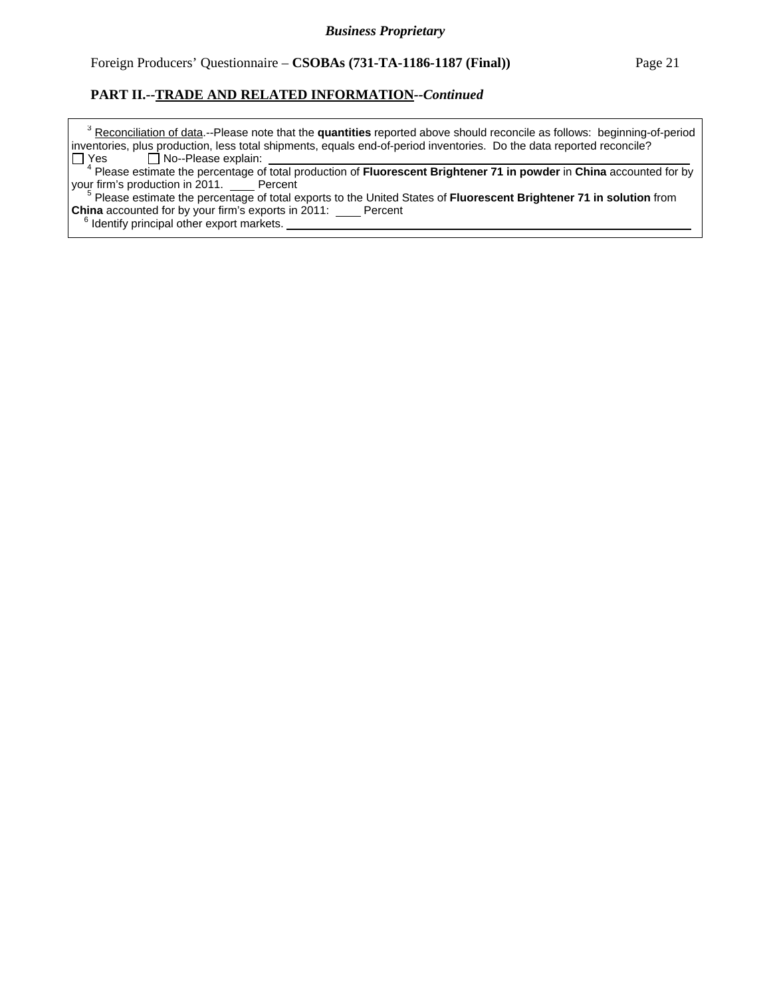<sup>3</sup> Reconciliation of data.--Please note that the quantities reported above should reconcile as follows: beginning-of-period inventories, plus production, less total shipments, equals end-of-period inventories. Do the data reported reconcile?  $Yes \Box No-Please explain:$ 

 <sup>4</sup> Please estimate the percentage of total production of **Fluorescent Brightener 71 in powder** in **China** accounted for by your firm's production in 2011. Percent

 <sup>5</sup> Please estimate the percentage of total exports to the United States of **Fluorescent Brightener 71 in solution** from **China** accounted for by your firm's exports in 2011: Percent

<sup>6</sup> Identify principal other export markets.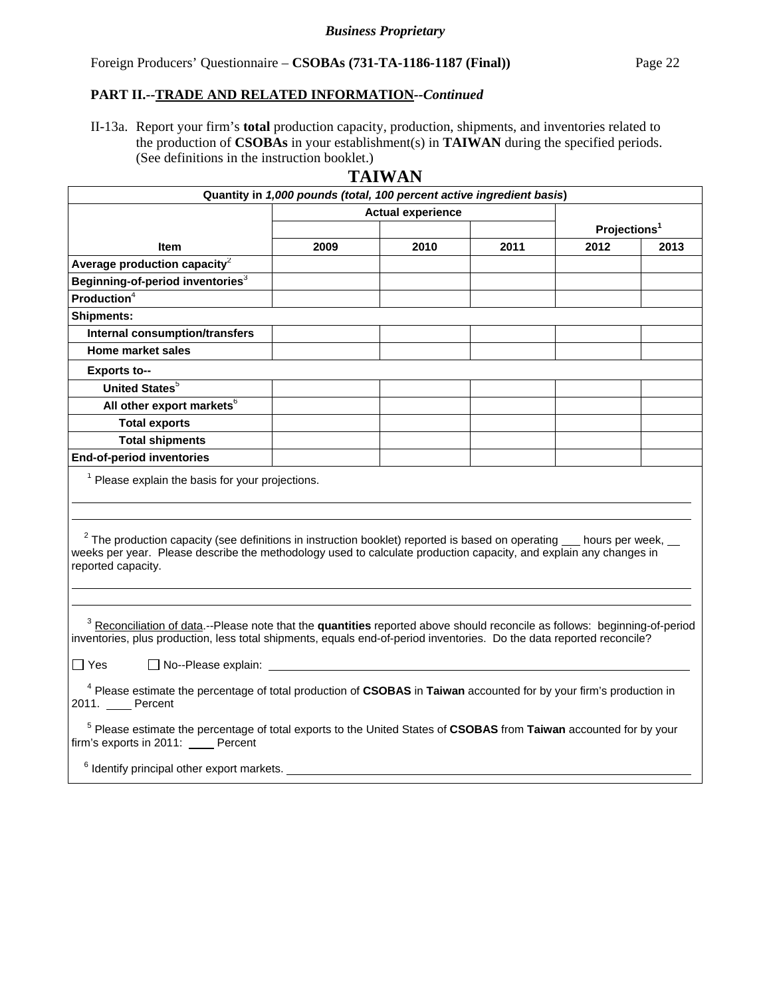II-13a. Report your firm's **total** production capacity, production, shipments, and inventories related to the production of **CSOBAs** in your establishment(s) in **TAIWAN** during the specified periods. (See definitions in the instruction booklet.)

|                                                                                                                                                                                                                                                                                                            | Quantity in 1,000 pounds (total, 100 percent active ingredient basis) |                          |      |                          |      |
|------------------------------------------------------------------------------------------------------------------------------------------------------------------------------------------------------------------------------------------------------------------------------------------------------------|-----------------------------------------------------------------------|--------------------------|------|--------------------------|------|
|                                                                                                                                                                                                                                                                                                            |                                                                       | <b>Actual experience</b> |      |                          |      |
|                                                                                                                                                                                                                                                                                                            |                                                                       |                          |      | Projections <sup>1</sup> |      |
| <b>Item</b>                                                                                                                                                                                                                                                                                                | 2009                                                                  | 2010                     | 2011 | 2012                     | 2013 |
| Average production capacity $2$                                                                                                                                                                                                                                                                            |                                                                       |                          |      |                          |      |
| Beginning-of-period inventories <sup>3</sup>                                                                                                                                                                                                                                                               |                                                                       |                          |      |                          |      |
| Production <sup>4</sup>                                                                                                                                                                                                                                                                                    |                                                                       |                          |      |                          |      |
| <b>Shipments:</b>                                                                                                                                                                                                                                                                                          |                                                                       |                          |      |                          |      |
| Internal consumption/transfers                                                                                                                                                                                                                                                                             |                                                                       |                          |      |                          |      |
| Home market sales                                                                                                                                                                                                                                                                                          |                                                                       |                          |      |                          |      |
| <b>Exports to--</b>                                                                                                                                                                                                                                                                                        |                                                                       |                          |      |                          |      |
| United States <sup>5</sup>                                                                                                                                                                                                                                                                                 |                                                                       |                          |      |                          |      |
| All other export markets <sup>6</sup>                                                                                                                                                                                                                                                                      |                                                                       |                          |      |                          |      |
| <b>Total exports</b>                                                                                                                                                                                                                                                                                       |                                                                       |                          |      |                          |      |
| <b>Total shipments</b>                                                                                                                                                                                                                                                                                     |                                                                       |                          |      |                          |      |
| <b>End-of-period inventories</b>                                                                                                                                                                                                                                                                           |                                                                       |                          |      |                          |      |
| <sup>1</sup> Please explain the basis for your projections.                                                                                                                                                                                                                                                |                                                                       |                          |      |                          |      |
| $2$ The production capacity (see definitions in instruction booklet) reported is based on operating $\_\_$ hours per week, $\_\_$<br>weeks per year. Please describe the methodology used to calculate production capacity, and explain any changes in<br>reported capacity.                               |                                                                       |                          |      |                          |      |
| <sup>3</sup> Reconciliation of data.--Please note that the quantities reported above should reconcile as follows: beginning-of-period<br>inventories, plus production, less total shipments, equals end-of-period inventories. Do the data reported reconcile?<br>$\Box$ Yes<br>$\Box$ No--Please explain: |                                                                       |                          |      |                          |      |
|                                                                                                                                                                                                                                                                                                            |                                                                       |                          |      |                          |      |
| <sup>4</sup> Please estimate the percentage of total production of CSOBAS in Taiwan accounted for by your firm's production in<br>2011. Percent                                                                                                                                                            |                                                                       |                          |      |                          |      |
| <sup>5</sup> Please estimate the percentage of total exports to the United States of CSOBAS from Taiwan accounted for by your<br>firm's exports in 2011: Percent                                                                                                                                           |                                                                       |                          |      |                          |      |
| <sup>6</sup> Identify principal other export markets.                                                                                                                                                                                                                                                      |                                                                       |                          |      |                          |      |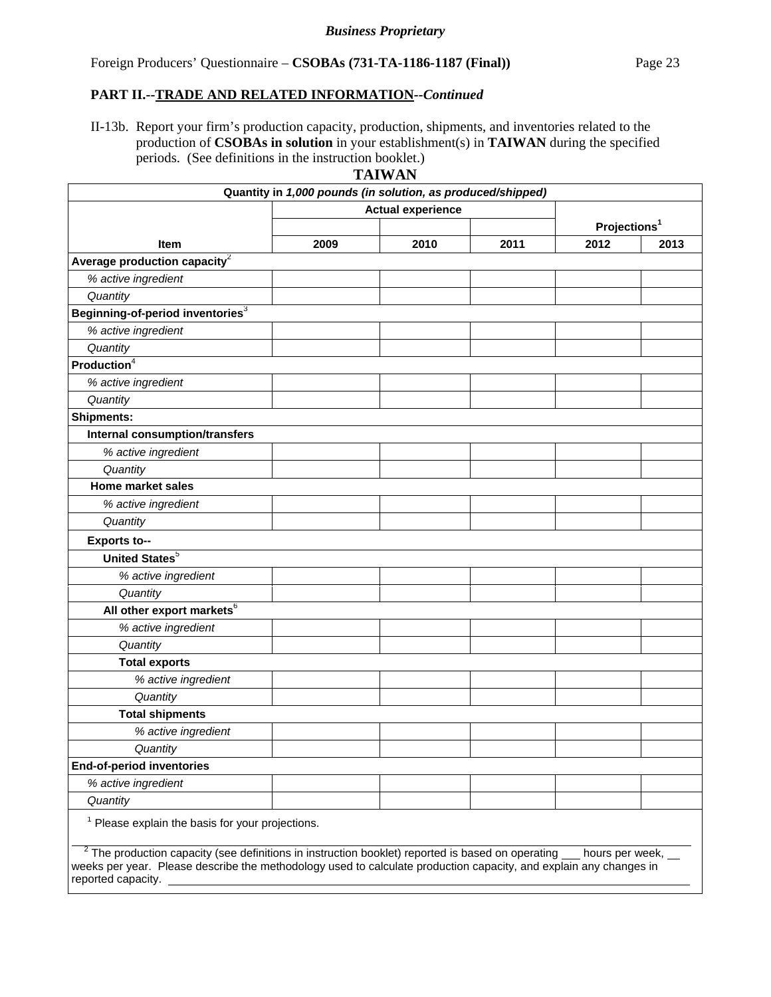II-13b. Report your firm's production capacity, production, shipments, and inventories related to the production of **CSOBAs in solution** in your establishment(s) in **TAIWAN** during the specified periods. (See definitions in the instruction booklet.)

| TAIWAN |  |
|--------|--|
|--------|--|

|                                                                                                                                                                                                                                                | Quantity in 1,000 pounds (in solution, as produced/shipped) |      |      |                          |      |
|------------------------------------------------------------------------------------------------------------------------------------------------------------------------------------------------------------------------------------------------|-------------------------------------------------------------|------|------|--------------------------|------|
|                                                                                                                                                                                                                                                | <b>Actual experience</b>                                    |      |      |                          |      |
|                                                                                                                                                                                                                                                |                                                             |      |      | Projections <sup>1</sup> |      |
| Item                                                                                                                                                                                                                                           | 2009                                                        | 2010 | 2011 | 2012                     | 2013 |
| Average production capacity <sup>2</sup>                                                                                                                                                                                                       |                                                             |      |      |                          |      |
| % active ingredient                                                                                                                                                                                                                            |                                                             |      |      |                          |      |
| Quantity                                                                                                                                                                                                                                       |                                                             |      |      |                          |      |
| Beginning-of-period inventories <sup>3</sup>                                                                                                                                                                                                   |                                                             |      |      |                          |      |
| % active ingredient                                                                                                                                                                                                                            |                                                             |      |      |                          |      |
| Quantity                                                                                                                                                                                                                                       |                                                             |      |      |                          |      |
| Production <sup>4</sup>                                                                                                                                                                                                                        |                                                             |      |      |                          |      |
| % active ingredient                                                                                                                                                                                                                            |                                                             |      |      |                          |      |
| Quantity                                                                                                                                                                                                                                       |                                                             |      |      |                          |      |
| <b>Shipments:</b>                                                                                                                                                                                                                              |                                                             |      |      |                          |      |
| Internal consumption/transfers                                                                                                                                                                                                                 |                                                             |      |      |                          |      |
| % active ingredient                                                                                                                                                                                                                            |                                                             |      |      |                          |      |
| Quantity                                                                                                                                                                                                                                       |                                                             |      |      |                          |      |
| <b>Home market sales</b>                                                                                                                                                                                                                       |                                                             |      |      |                          |      |
| % active ingredient                                                                                                                                                                                                                            |                                                             |      |      |                          |      |
| Quantity                                                                                                                                                                                                                                       |                                                             |      |      |                          |      |
| <b>Exports to--</b>                                                                                                                                                                                                                            |                                                             |      |      |                          |      |
| United States <sup>5</sup>                                                                                                                                                                                                                     |                                                             |      |      |                          |      |
| % active ingredient                                                                                                                                                                                                                            |                                                             |      |      |                          |      |
| Quantity                                                                                                                                                                                                                                       |                                                             |      |      |                          |      |
| All other export markets <sup>6</sup>                                                                                                                                                                                                          |                                                             |      |      |                          |      |
| % active ingredient                                                                                                                                                                                                                            |                                                             |      |      |                          |      |
| Quantity                                                                                                                                                                                                                                       |                                                             |      |      |                          |      |
| <b>Total exports</b>                                                                                                                                                                                                                           |                                                             |      |      |                          |      |
| % active ingredient                                                                                                                                                                                                                            |                                                             |      |      |                          |      |
| Quantity                                                                                                                                                                                                                                       |                                                             |      |      |                          |      |
| <b>Total shipments</b>                                                                                                                                                                                                                         |                                                             |      |      |                          |      |
| % active ingredient                                                                                                                                                                                                                            |                                                             |      |      |                          |      |
| Quantity                                                                                                                                                                                                                                       |                                                             |      |      |                          |      |
| <b>End-of-period inventories</b>                                                                                                                                                                                                               |                                                             |      |      |                          |      |
| % active ingredient                                                                                                                                                                                                                            |                                                             |      |      |                          |      |
| Quantity                                                                                                                                                                                                                                       |                                                             |      |      |                          |      |
| $1$ Please explain the basis for your projections.                                                                                                                                                                                             |                                                             |      |      |                          |      |
| $2$ The production capacity (see definitions in instruction booklet) reported is based on operating<br>weeks per year. Please describe the methodology used to calculate production capacity, and explain any changes in<br>reported capacity. |                                                             |      |      | hours per week,          |      |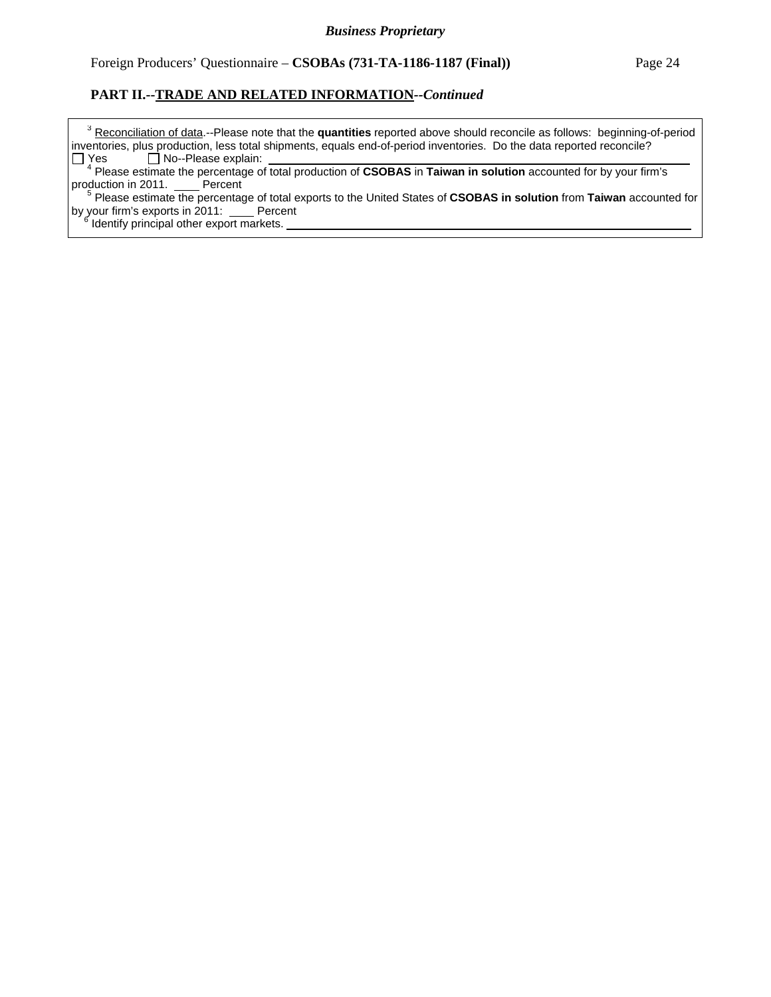<sup>3</sup> Reconciliation of data.--Please note that the quantities reported above should reconcile as follows: beginning-of-period inventories, plus production, less total shipments, equals end-of-period inventories. Do the data reported reconcile?  $Yes \Box No-Please explain:$ 

 <sup>4</sup> Please estimate the percentage of total production of **CSOBAS** in **Taiwan in solution** accounted for by your firm's production in 2011. Percent

 <sup>5</sup> Please estimate the percentage of total exports to the United States of **CSOBAS in solution** from **Taiwan** accounted for by your firm's exports in 2011: Percent

 $\frac{1}{6}$  Identify principal other export markets.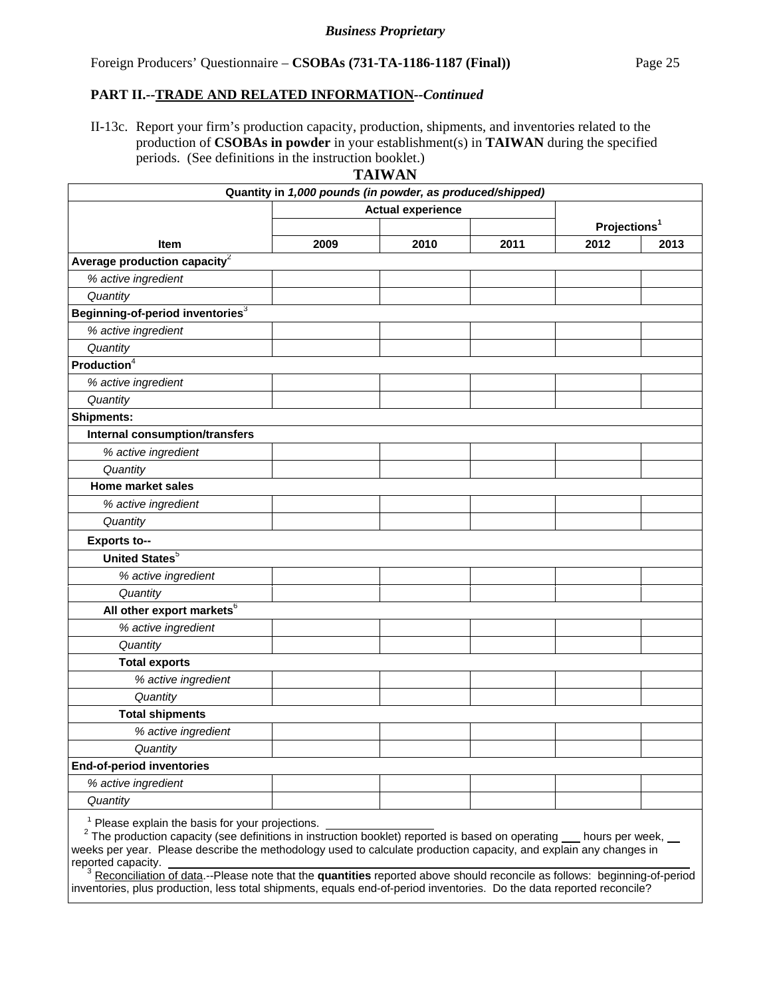II-13c. Report your firm's production capacity, production, shipments, and inventories related to the production of **CSOBAs in powder** in your establishment(s) in **TAIWAN** during the specified periods. (See definitions in the instruction booklet.)

| IWAN<br>ΑI |  |
|------------|--|
|------------|--|

|                                                                                                                                                                                                                                                                               | Quantity in 1,000 pounds (in powder, as produced/shipped) |      |      |                          |      |
|-------------------------------------------------------------------------------------------------------------------------------------------------------------------------------------------------------------------------------------------------------------------------------|-----------------------------------------------------------|------|------|--------------------------|------|
|                                                                                                                                                                                                                                                                               | <b>Actual experience</b>                                  |      |      |                          |      |
|                                                                                                                                                                                                                                                                               |                                                           |      |      | Projections <sup>1</sup> |      |
| Item                                                                                                                                                                                                                                                                          | 2009                                                      | 2010 | 2011 | 2012                     | 2013 |
| Average production capacity <sup>2</sup>                                                                                                                                                                                                                                      |                                                           |      |      |                          |      |
| % active ingredient                                                                                                                                                                                                                                                           |                                                           |      |      |                          |      |
| Quantity                                                                                                                                                                                                                                                                      |                                                           |      |      |                          |      |
| Beginning-of-period inventories3                                                                                                                                                                                                                                              |                                                           |      |      |                          |      |
| % active ingredient                                                                                                                                                                                                                                                           |                                                           |      |      |                          |      |
| Quantity                                                                                                                                                                                                                                                                      |                                                           |      |      |                          |      |
| Production <sup>4</sup>                                                                                                                                                                                                                                                       |                                                           |      |      |                          |      |
| % active ingredient                                                                                                                                                                                                                                                           |                                                           |      |      |                          |      |
| Quantity                                                                                                                                                                                                                                                                      |                                                           |      |      |                          |      |
| <b>Shipments:</b>                                                                                                                                                                                                                                                             |                                                           |      |      |                          |      |
| <b>Internal consumption/transfers</b>                                                                                                                                                                                                                                         |                                                           |      |      |                          |      |
| % active ingredient                                                                                                                                                                                                                                                           |                                                           |      |      |                          |      |
| Quantity                                                                                                                                                                                                                                                                      |                                                           |      |      |                          |      |
| <b>Home market sales</b>                                                                                                                                                                                                                                                      |                                                           |      |      |                          |      |
| % active ingredient                                                                                                                                                                                                                                                           |                                                           |      |      |                          |      |
| Quantity                                                                                                                                                                                                                                                                      |                                                           |      |      |                          |      |
| Exports to--                                                                                                                                                                                                                                                                  |                                                           |      |      |                          |      |
| United States <sup>5</sup>                                                                                                                                                                                                                                                    |                                                           |      |      |                          |      |
| % active ingredient                                                                                                                                                                                                                                                           |                                                           |      |      |                          |      |
| Quantity                                                                                                                                                                                                                                                                      |                                                           |      |      |                          |      |
| All other export markets <sup>6</sup>                                                                                                                                                                                                                                         |                                                           |      |      |                          |      |
| % active ingredient                                                                                                                                                                                                                                                           |                                                           |      |      |                          |      |
| Quantity                                                                                                                                                                                                                                                                      |                                                           |      |      |                          |      |
| <b>Total exports</b>                                                                                                                                                                                                                                                          |                                                           |      |      |                          |      |
| % active ingredient                                                                                                                                                                                                                                                           |                                                           |      |      |                          |      |
| Quantity                                                                                                                                                                                                                                                                      |                                                           |      |      |                          |      |
| <b>Total shipments</b>                                                                                                                                                                                                                                                        |                                                           |      |      |                          |      |
| % active ingredient                                                                                                                                                                                                                                                           |                                                           |      |      |                          |      |
| Quantity                                                                                                                                                                                                                                                                      |                                                           |      |      |                          |      |
| <b>End-of-period inventories</b>                                                                                                                                                                                                                                              |                                                           |      |      |                          |      |
| % active ingredient                                                                                                                                                                                                                                                           |                                                           |      |      |                          |      |
| Quantity                                                                                                                                                                                                                                                                      |                                                           |      |      |                          |      |
| $1$ Please explain the basis for your projections.                                                                                                                                                                                                                            |                                                           |      |      |                          |      |
| <sup>2</sup> The production capacity (see definitions in instruction booklet) reported is based on operating __ hours per week, __<br>weeks per year. Please describe the methodology used to calculate production capacity, and explain any changes in<br>reported capacity. |                                                           |      |      |                          |      |

<sup>3</sup> Reconciliation of data.--Please note that the quantities reported above should reconcile as follows: beginning-of-period inventories, plus production, less total shipments, equals end-of-period inventories. Do the data reported reconcile?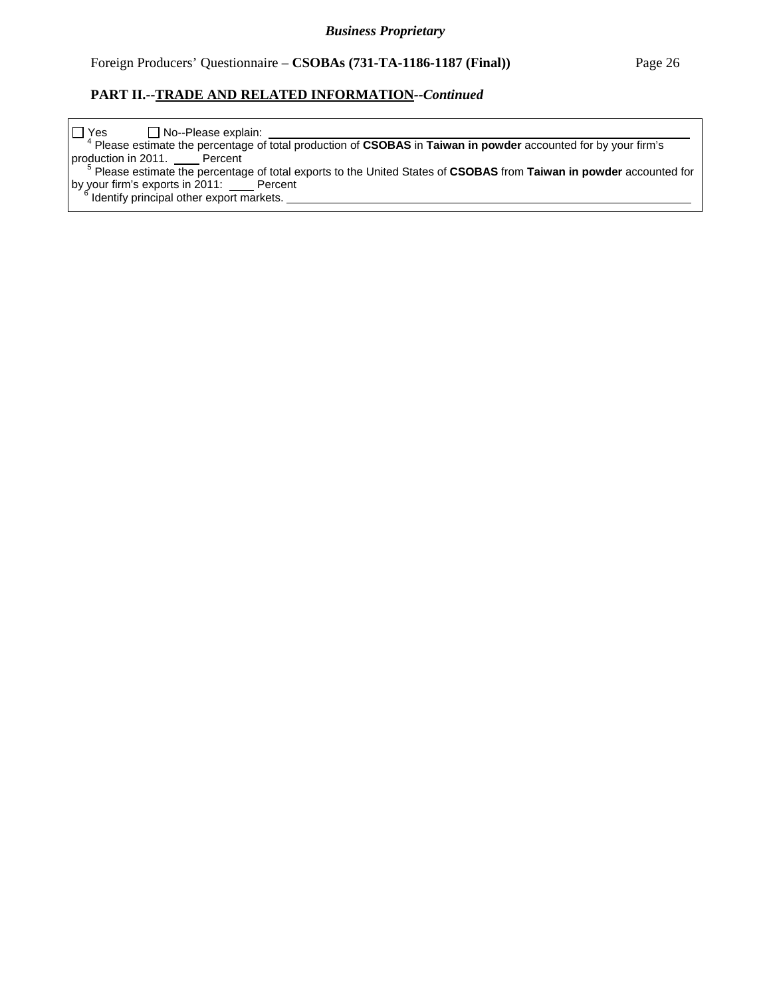| $\Box$ Yes<br>□ No--Please explain:                                                                                             |
|---------------------------------------------------------------------------------------------------------------------------------|
| <sup>4</sup> Please estimate the percentage of total production of CSOBAS in Taiwan in powder accounted for by your firm's      |
| production in 2011. Percent                                                                                                     |
| <sup>5</sup> Please estimate the percentage of total exports to the United States of CSOBAS from Taiwan in powder accounted for |
| by your firm's exports in 2011: _____ Percent                                                                                   |
| <sup>6</sup> Identify principal other export markets.                                                                           |
|                                                                                                                                 |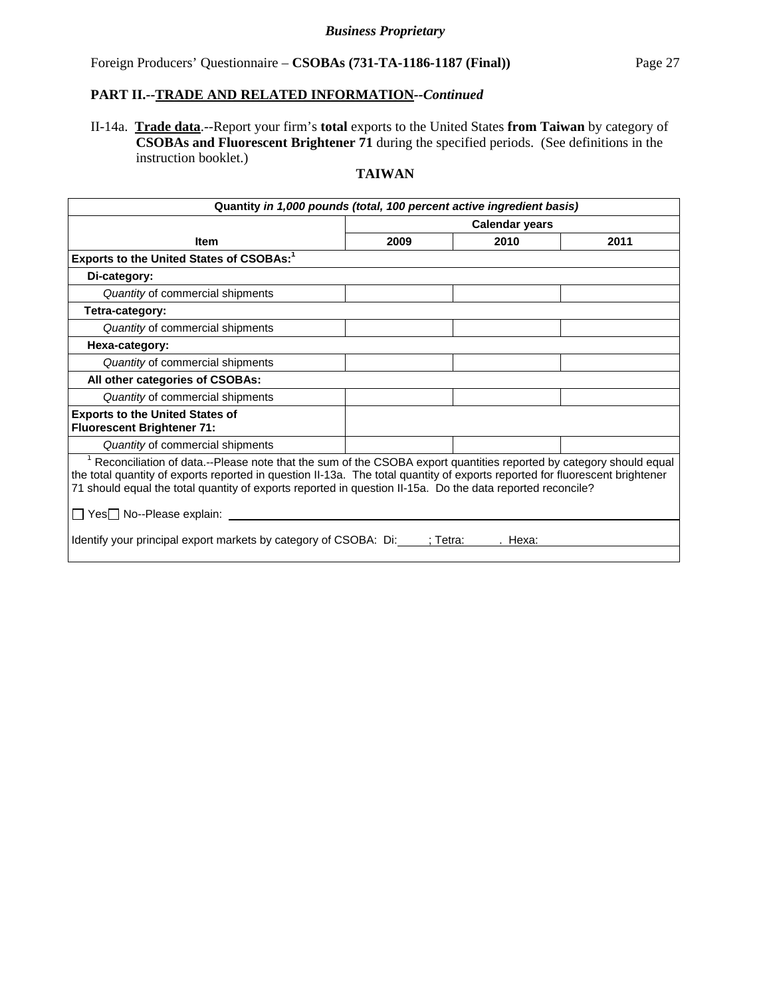II-14a. **Trade data**.--Report your firm's **total** exports to the United States **from Taiwan** by category of **CSOBAs and Fluorescent Brightener 71** during the specified periods. (See definitions in the instruction booklet.)

| Quantity in 1,000 pounds (total, 100 percent active ingredient basis)                                                                                                                                                                                                                                                                                                                                                                                                                         |                       |                   |      |  |  |
|-----------------------------------------------------------------------------------------------------------------------------------------------------------------------------------------------------------------------------------------------------------------------------------------------------------------------------------------------------------------------------------------------------------------------------------------------------------------------------------------------|-----------------------|-------------------|------|--|--|
|                                                                                                                                                                                                                                                                                                                                                                                                                                                                                               | <b>Calendar years</b> |                   |      |  |  |
| <b>Item</b>                                                                                                                                                                                                                                                                                                                                                                                                                                                                                   | 2009                  | 2010              | 2011 |  |  |
| Exports to the United States of CSOBAs: <sup>1</sup>                                                                                                                                                                                                                                                                                                                                                                                                                                          |                       |                   |      |  |  |
| Di-category:                                                                                                                                                                                                                                                                                                                                                                                                                                                                                  |                       |                   |      |  |  |
| Quantity of commercial shipments                                                                                                                                                                                                                                                                                                                                                                                                                                                              |                       |                   |      |  |  |
| Tetra-category:                                                                                                                                                                                                                                                                                                                                                                                                                                                                               |                       |                   |      |  |  |
| Quantity of commercial shipments                                                                                                                                                                                                                                                                                                                                                                                                                                                              |                       |                   |      |  |  |
| Hexa-category:                                                                                                                                                                                                                                                                                                                                                                                                                                                                                |                       |                   |      |  |  |
| Quantity of commercial shipments                                                                                                                                                                                                                                                                                                                                                                                                                                                              |                       |                   |      |  |  |
| All other categories of CSOBAs:                                                                                                                                                                                                                                                                                                                                                                                                                                                               |                       |                   |      |  |  |
| Quantity of commercial shipments                                                                                                                                                                                                                                                                                                                                                                                                                                                              |                       |                   |      |  |  |
| <b>Exports to the United States of</b><br><b>Fluorescent Brightener 71:</b>                                                                                                                                                                                                                                                                                                                                                                                                                   |                       |                   |      |  |  |
| Quantity of commercial shipments                                                                                                                                                                                                                                                                                                                                                                                                                                                              |                       |                   |      |  |  |
| <sup>1</sup> Reconciliation of data.--Please note that the sum of the CSOBA export quantities reported by category should equal<br>the total quantity of exports reported in question II-13a. The total quantity of exports reported for fluorescent brightener<br>71 should equal the total quantity of exports reported in question II-15a. Do the data reported reconcile?<br>□ Yes□ No--Please explain: <u>______</u><br>Identify your principal export markets by category of CSOBA: Di: |                       | : Tetra:<br>Hexa: |      |  |  |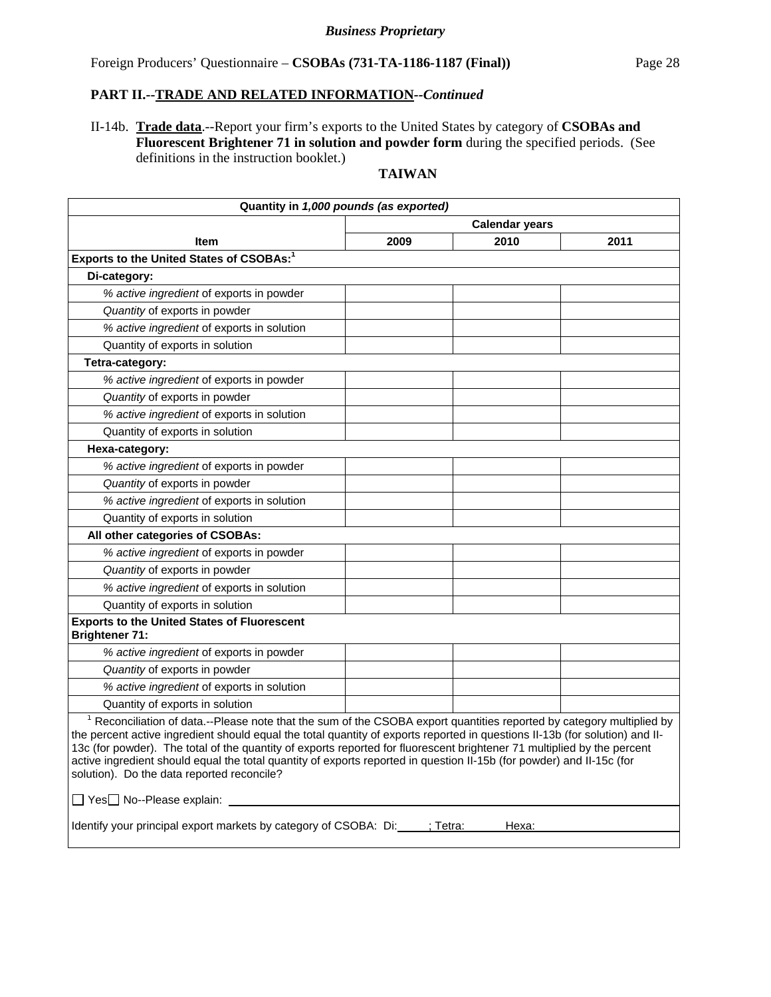II-14b. **Trade data**.--Report your firm's exports to the United States by category of **CSOBAs and Fluorescent Brightener 71 in solution and powder form** during the specified periods. (See definitions in the instruction booklet.)

| Quantity in 1,000 pounds (as exported)                                                                                                                                                                                                                                                                                                                                                                                                                                                                                                                                                                      |                       |      |      |  |  |
|-------------------------------------------------------------------------------------------------------------------------------------------------------------------------------------------------------------------------------------------------------------------------------------------------------------------------------------------------------------------------------------------------------------------------------------------------------------------------------------------------------------------------------------------------------------------------------------------------------------|-----------------------|------|------|--|--|
|                                                                                                                                                                                                                                                                                                                                                                                                                                                                                                                                                                                                             | <b>Calendar years</b> |      |      |  |  |
| ltem                                                                                                                                                                                                                                                                                                                                                                                                                                                                                                                                                                                                        | 2009                  | 2010 | 2011 |  |  |
| Exports to the United States of CSOBAs: <sup>1</sup>                                                                                                                                                                                                                                                                                                                                                                                                                                                                                                                                                        |                       |      |      |  |  |
| Di-category:                                                                                                                                                                                                                                                                                                                                                                                                                                                                                                                                                                                                |                       |      |      |  |  |
| % active ingredient of exports in powder                                                                                                                                                                                                                                                                                                                                                                                                                                                                                                                                                                    |                       |      |      |  |  |
| Quantity of exports in powder                                                                                                                                                                                                                                                                                                                                                                                                                                                                                                                                                                               |                       |      |      |  |  |
| % active ingredient of exports in solution                                                                                                                                                                                                                                                                                                                                                                                                                                                                                                                                                                  |                       |      |      |  |  |
| Quantity of exports in solution                                                                                                                                                                                                                                                                                                                                                                                                                                                                                                                                                                             |                       |      |      |  |  |
| Tetra-category:                                                                                                                                                                                                                                                                                                                                                                                                                                                                                                                                                                                             |                       |      |      |  |  |
| % active ingredient of exports in powder                                                                                                                                                                                                                                                                                                                                                                                                                                                                                                                                                                    |                       |      |      |  |  |
| Quantity of exports in powder                                                                                                                                                                                                                                                                                                                                                                                                                                                                                                                                                                               |                       |      |      |  |  |
| % active ingredient of exports in solution                                                                                                                                                                                                                                                                                                                                                                                                                                                                                                                                                                  |                       |      |      |  |  |
| Quantity of exports in solution                                                                                                                                                                                                                                                                                                                                                                                                                                                                                                                                                                             |                       |      |      |  |  |
| Hexa-category:                                                                                                                                                                                                                                                                                                                                                                                                                                                                                                                                                                                              |                       |      |      |  |  |
| % active ingredient of exports in powder                                                                                                                                                                                                                                                                                                                                                                                                                                                                                                                                                                    |                       |      |      |  |  |
| Quantity of exports in powder                                                                                                                                                                                                                                                                                                                                                                                                                                                                                                                                                                               |                       |      |      |  |  |
| % active ingredient of exports in solution                                                                                                                                                                                                                                                                                                                                                                                                                                                                                                                                                                  |                       |      |      |  |  |
| Quantity of exports in solution                                                                                                                                                                                                                                                                                                                                                                                                                                                                                                                                                                             |                       |      |      |  |  |
| All other categories of CSOBAs:                                                                                                                                                                                                                                                                                                                                                                                                                                                                                                                                                                             |                       |      |      |  |  |
| % active ingredient of exports in powder                                                                                                                                                                                                                                                                                                                                                                                                                                                                                                                                                                    |                       |      |      |  |  |
| Quantity of exports in powder                                                                                                                                                                                                                                                                                                                                                                                                                                                                                                                                                                               |                       |      |      |  |  |
| % active ingredient of exports in solution                                                                                                                                                                                                                                                                                                                                                                                                                                                                                                                                                                  |                       |      |      |  |  |
| Quantity of exports in solution                                                                                                                                                                                                                                                                                                                                                                                                                                                                                                                                                                             |                       |      |      |  |  |
| <b>Exports to the United States of Fluorescent</b><br><b>Brightener 71:</b>                                                                                                                                                                                                                                                                                                                                                                                                                                                                                                                                 |                       |      |      |  |  |
| % active ingredient of exports in powder                                                                                                                                                                                                                                                                                                                                                                                                                                                                                                                                                                    |                       |      |      |  |  |
| Quantity of exports in powder                                                                                                                                                                                                                                                                                                                                                                                                                                                                                                                                                                               |                       |      |      |  |  |
| % active ingredient of exports in solution                                                                                                                                                                                                                                                                                                                                                                                                                                                                                                                                                                  |                       |      |      |  |  |
| Quantity of exports in solution                                                                                                                                                                                                                                                                                                                                                                                                                                                                                                                                                                             |                       |      |      |  |  |
| <sup>1</sup> Reconciliation of data.--Please note that the sum of the CSOBA export quantities reported by category multiplied by<br>the percent active ingredient should equal the total quantity of exports reported in questions II-13b (for solution) and II-<br>13c (for powder). The total of the quantity of exports reported for fluorescent brightener 71 multiplied by the percent<br>active ingredient should equal the total quantity of exports reported in question II-15b (for powder) and II-15c (for<br>solution). Do the data reported reconcile?<br>$\Box$ Yes $\Box$ No--Please explain: |                       |      |      |  |  |
| Identify your principal export markets by category of CSOBA: Di: ; Tetra:<br>Hexa:                                                                                                                                                                                                                                                                                                                                                                                                                                                                                                                          |                       |      |      |  |  |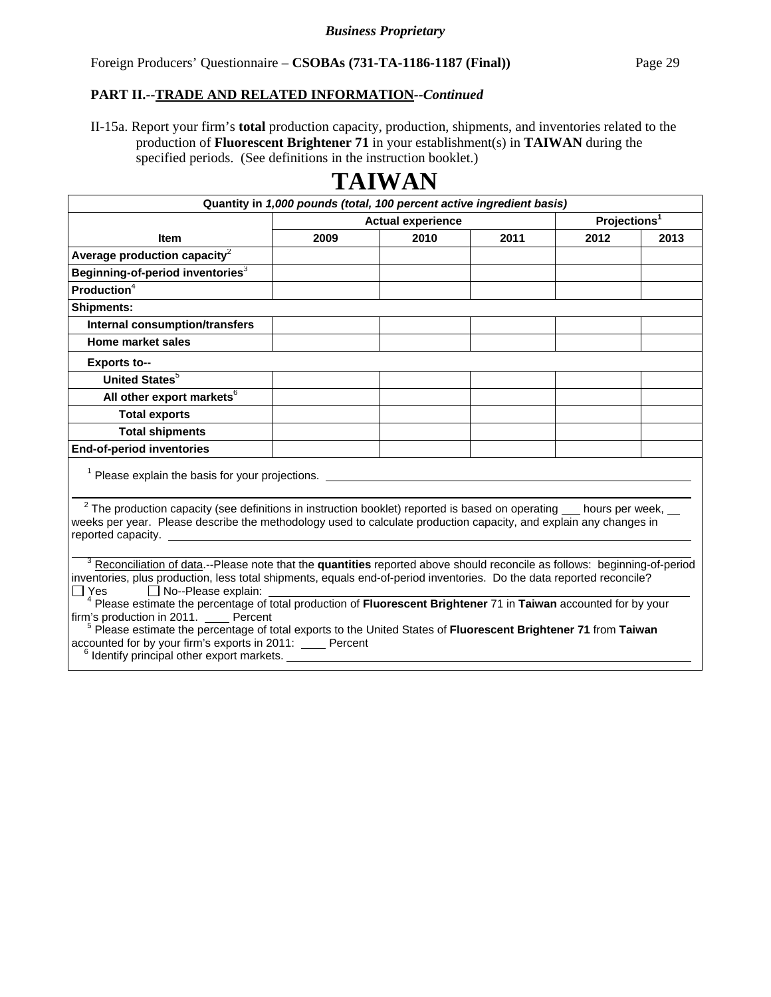II-15a. Report your firm's **total** production capacity, production, shipments, and inventories related to the production of **Fluorescent Brightener 71** in your establishment(s) in **TAIWAN** during the specified periods. (See definitions in the instruction booklet.)

| Quantity in 1,000 pounds (total, 100 percent active ingredient basis)                                                                                                                                                                                                                                                                                                                                                                                                                                                                                                                                                                                                                                            |                          |      |      |                          |      |
|------------------------------------------------------------------------------------------------------------------------------------------------------------------------------------------------------------------------------------------------------------------------------------------------------------------------------------------------------------------------------------------------------------------------------------------------------------------------------------------------------------------------------------------------------------------------------------------------------------------------------------------------------------------------------------------------------------------|--------------------------|------|------|--------------------------|------|
|                                                                                                                                                                                                                                                                                                                                                                                                                                                                                                                                                                                                                                                                                                                  | <b>Actual experience</b> |      |      | Projections <sup>1</sup> |      |
| <b>Item</b>                                                                                                                                                                                                                                                                                                                                                                                                                                                                                                                                                                                                                                                                                                      | 2009                     | 2010 | 2011 | 2012                     | 2013 |
| Average production capacity $^2$                                                                                                                                                                                                                                                                                                                                                                                                                                                                                                                                                                                                                                                                                 |                          |      |      |                          |      |
| Beginning-of-period inventories $^3$                                                                                                                                                                                                                                                                                                                                                                                                                                                                                                                                                                                                                                                                             |                          |      |      |                          |      |
| Production $4$                                                                                                                                                                                                                                                                                                                                                                                                                                                                                                                                                                                                                                                                                                   |                          |      |      |                          |      |
| <b>Shipments:</b>                                                                                                                                                                                                                                                                                                                                                                                                                                                                                                                                                                                                                                                                                                |                          |      |      |                          |      |
| <b>Internal consumption/transfers</b>                                                                                                                                                                                                                                                                                                                                                                                                                                                                                                                                                                                                                                                                            |                          |      |      |                          |      |
| Home market sales                                                                                                                                                                                                                                                                                                                                                                                                                                                                                                                                                                                                                                                                                                |                          |      |      |                          |      |
| <b>Exports to--</b>                                                                                                                                                                                                                                                                                                                                                                                                                                                                                                                                                                                                                                                                                              |                          |      |      |                          |      |
| <b>United States</b> <sup>5</sup>                                                                                                                                                                                                                                                                                                                                                                                                                                                                                                                                                                                                                                                                                |                          |      |      |                          |      |
| All other export markets <sup>6</sup>                                                                                                                                                                                                                                                                                                                                                                                                                                                                                                                                                                                                                                                                            |                          |      |      |                          |      |
| <b>Total exports</b>                                                                                                                                                                                                                                                                                                                                                                                                                                                                                                                                                                                                                                                                                             |                          |      |      |                          |      |
| <b>Total shipments</b>                                                                                                                                                                                                                                                                                                                                                                                                                                                                                                                                                                                                                                                                                           |                          |      |      |                          |      |
| <b>End-of-period inventories</b>                                                                                                                                                                                                                                                                                                                                                                                                                                                                                                                                                                                                                                                                                 |                          |      |      |                          |      |
| <sup>1</sup> Please explain the basis for your projections.                                                                                                                                                                                                                                                                                                                                                                                                                                                                                                                                                                                                                                                      |                          |      |      |                          |      |
| $2$ The production capacity (see definitions in instruction booklet) reported is based on operating $\_\_$ hours per week, $\_\_$<br>weeks per year. Please describe the methodology used to calculate production capacity, and explain any changes in                                                                                                                                                                                                                                                                                                                                                                                                                                                           |                          |      |      |                          |      |
| <sup>3</sup> Reconciliation of data.--Please note that the quantities reported above should reconcile as follows: beginning-of-period<br>inventories, plus production, less total shipments, equals end-of-period inventories. Do the data reported reconcile?<br>$\Box$ Yes<br>No--Please explain:<br><sup>4</sup> Please estimate the percentage of total production of Fluorescent Brightener 71 in Taiwan accounted for by your<br>firm's production in 2011. Percent<br><sup>5</sup> Please estimate the percentage of total exports to the United States of Fluorescent Brightener 71 from Taiwan<br>accounted for by your firm's exports in 2011: Percent<br>$6$ Identify principal other export markets. |                          |      |      |                          |      |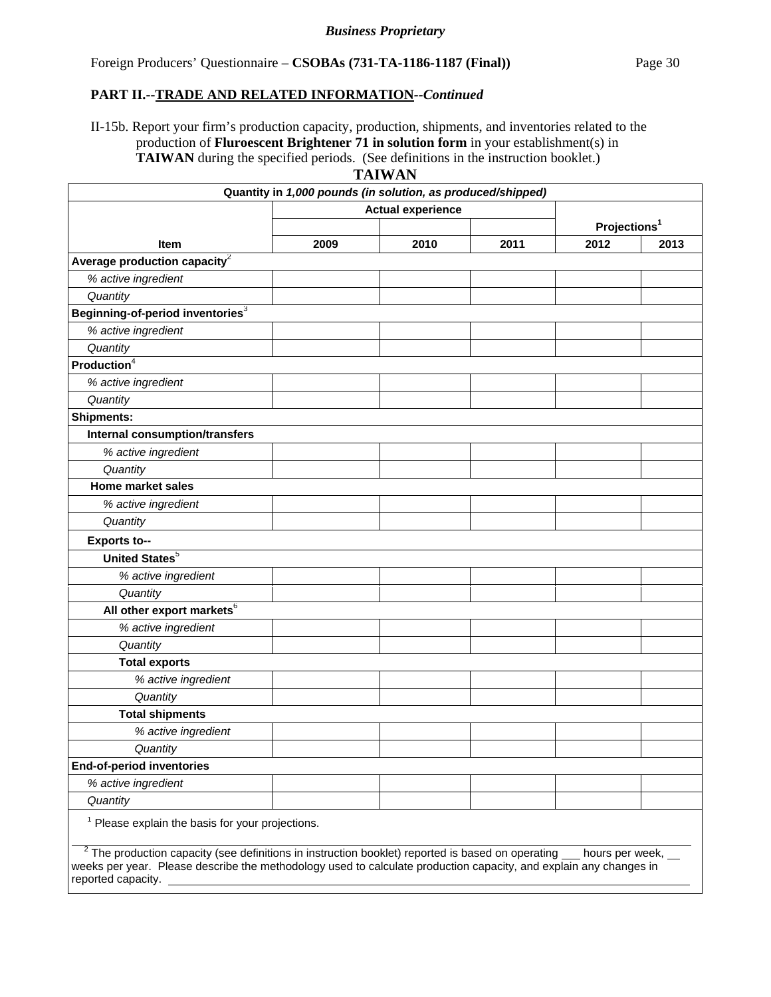II-15b. Report your firm's production capacity, production, shipments, and inventories related to the production of **Fluroescent Brightener 71 in solution form** in your establishment(s) in **TAIWAN** during the specified periods. (See definitions in the instruction booklet.)

|                                                                                                                                                                                                                                                                            | Quantity in 1,000 pounds (in solution, as produced/shipped) |      |      |      |                          |
|----------------------------------------------------------------------------------------------------------------------------------------------------------------------------------------------------------------------------------------------------------------------------|-------------------------------------------------------------|------|------|------|--------------------------|
|                                                                                                                                                                                                                                                                            | <b>Actual experience</b>                                    |      |      |      |                          |
|                                                                                                                                                                                                                                                                            |                                                             |      |      |      | Projections <sup>1</sup> |
| <b>Item</b>                                                                                                                                                                                                                                                                | 2009                                                        | 2010 | 2011 | 2012 | 2013                     |
| Average production capacity $2$                                                                                                                                                                                                                                            |                                                             |      |      |      |                          |
| % active ingredient                                                                                                                                                                                                                                                        |                                                             |      |      |      |                          |
| Quantity                                                                                                                                                                                                                                                                   |                                                             |      |      |      |                          |
| Beginning-of-period inventories <sup>3</sup>                                                                                                                                                                                                                               |                                                             |      |      |      |                          |
| % active ingredient                                                                                                                                                                                                                                                        |                                                             |      |      |      |                          |
| Quantity                                                                                                                                                                                                                                                                   |                                                             |      |      |      |                          |
| Production <sup>4</sup>                                                                                                                                                                                                                                                    |                                                             |      |      |      |                          |
| % active ingredient                                                                                                                                                                                                                                                        |                                                             |      |      |      |                          |
| Quantity                                                                                                                                                                                                                                                                   |                                                             |      |      |      |                          |
| <b>Shipments:</b>                                                                                                                                                                                                                                                          |                                                             |      |      |      |                          |
| <b>Internal consumption/transfers</b>                                                                                                                                                                                                                                      |                                                             |      |      |      |                          |
| % active ingredient                                                                                                                                                                                                                                                        |                                                             |      |      |      |                          |
| Quantity                                                                                                                                                                                                                                                                   |                                                             |      |      |      |                          |
| <b>Home market sales</b>                                                                                                                                                                                                                                                   |                                                             |      |      |      |                          |
| % active ingredient                                                                                                                                                                                                                                                        |                                                             |      |      |      |                          |
| Quantity                                                                                                                                                                                                                                                                   |                                                             |      |      |      |                          |
| <b>Exports to--</b>                                                                                                                                                                                                                                                        |                                                             |      |      |      |                          |
| United States <sup>5</sup>                                                                                                                                                                                                                                                 |                                                             |      |      |      |                          |
| % active ingredient                                                                                                                                                                                                                                                        |                                                             |      |      |      |                          |
| Quantity                                                                                                                                                                                                                                                                   |                                                             |      |      |      |                          |
| All other export markets <sup>6</sup>                                                                                                                                                                                                                                      |                                                             |      |      |      |                          |
| % active ingredient                                                                                                                                                                                                                                                        |                                                             |      |      |      |                          |
| Quantity                                                                                                                                                                                                                                                                   |                                                             |      |      |      |                          |
| <b>Total exports</b>                                                                                                                                                                                                                                                       |                                                             |      |      |      |                          |
| % active ingredient                                                                                                                                                                                                                                                        |                                                             |      |      |      |                          |
| Quantity                                                                                                                                                                                                                                                                   |                                                             |      |      |      |                          |
| <b>Total shipments</b>                                                                                                                                                                                                                                                     |                                                             |      |      |      |                          |
| % active ingredient                                                                                                                                                                                                                                                        |                                                             |      |      |      |                          |
| Quantity                                                                                                                                                                                                                                                                   |                                                             |      |      |      |                          |
| <b>End-of-period inventories</b>                                                                                                                                                                                                                                           |                                                             |      |      |      |                          |
| % active ingredient                                                                                                                                                                                                                                                        |                                                             |      |      |      |                          |
| Quantity                                                                                                                                                                                                                                                                   |                                                             |      |      |      |                          |
| $1$ Please explain the basis for your projections.                                                                                                                                                                                                                         |                                                             |      |      |      |                          |
| $2$ The production capacity (see definitions in instruction booklet) reported is based on operating $\mu$ hours per week, $\mu$<br>weeks per year. Please describe the methodology used to calculate production capacity, and explain any changes in<br>reported capacity. |                                                             |      |      |      |                          |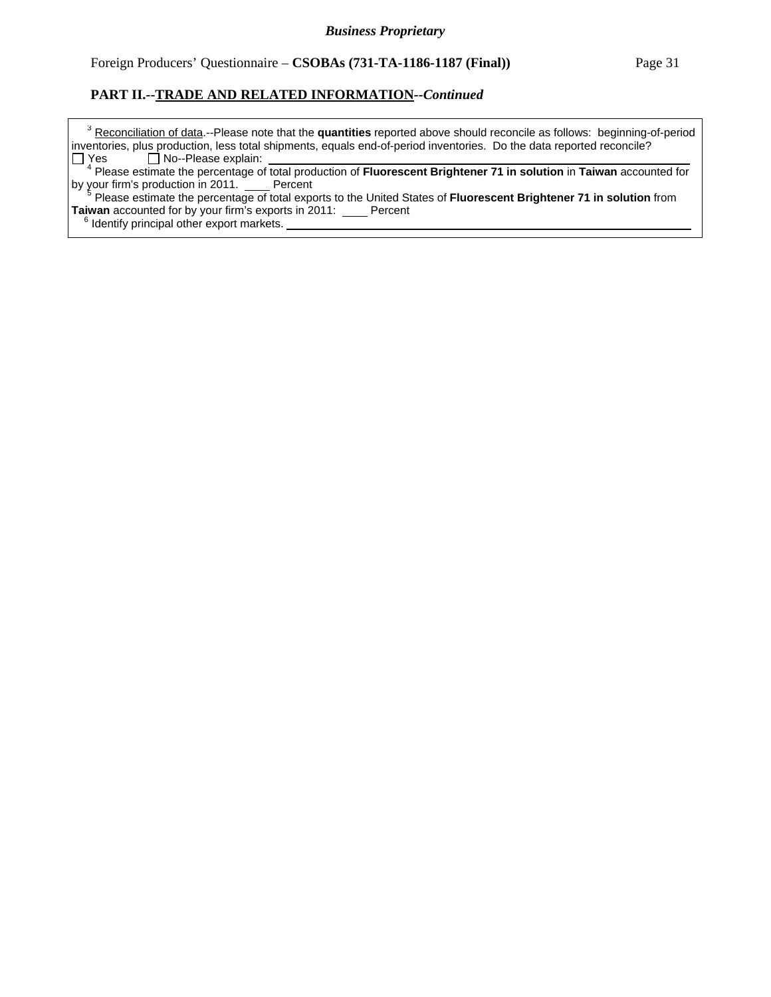<sup>3</sup> Reconciliation of data.--Please note that the quantities reported above should reconcile as follows: beginning-of-period inventories, plus production, less total shipments, equals end-of-period inventories. Do the data reported reconcile?  $Yes \Box No-Please explain:$ 

 <sup>4</sup> Please estimate the percentage of total production of **Fluorescent Brightener 71 in solution** in **Taiwan** accounted for by your firm's production in 2011. Percent

<sup>5</sup> Please estimate the percentage of total exports to the United States of **Fluorescent Brightener 71 in solution** from **Taiwan** accounted for by your firm's exports in 2011: \_\_\_\_ Percent

<sup>6</sup> Identify principal other export markets.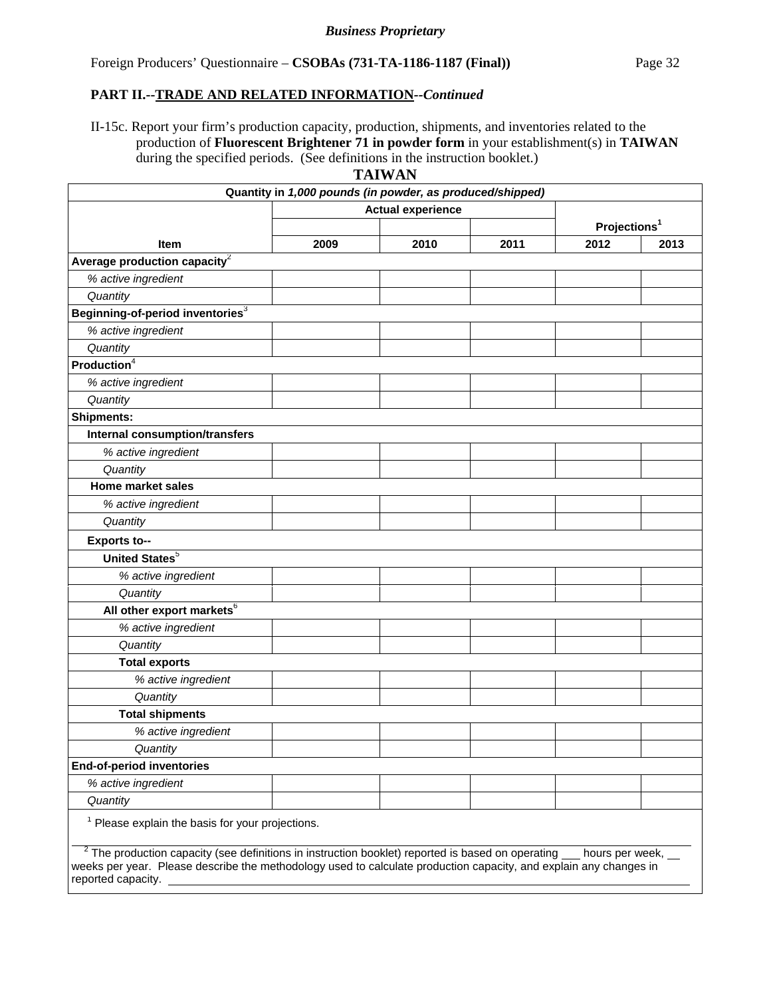II-15c. Report your firm's production capacity, production, shipments, and inventories related to the production of **Fluorescent Brightener 71 in powder form** in your establishment(s) in **TAIWAN** during the specified periods. (See definitions in the instruction booklet.)

|                                                                                                                                                                                                                                                                | Quantity in 1,000 pounds (in powder, as produced/shipped) |      |      |                          |      |
|----------------------------------------------------------------------------------------------------------------------------------------------------------------------------------------------------------------------------------------------------------------|-----------------------------------------------------------|------|------|--------------------------|------|
| <b>Actual experience</b>                                                                                                                                                                                                                                       |                                                           |      |      |                          |      |
|                                                                                                                                                                                                                                                                |                                                           |      |      | Projections <sup>1</sup> |      |
| Item                                                                                                                                                                                                                                                           | 2009                                                      | 2010 | 2011 | 2012                     | 2013 |
| Average production capacity <sup>2</sup>                                                                                                                                                                                                                       |                                                           |      |      |                          |      |
| % active ingredient                                                                                                                                                                                                                                            |                                                           |      |      |                          |      |
| Quantity                                                                                                                                                                                                                                                       |                                                           |      |      |                          |      |
| Beginning-of-period inventories <sup>3</sup>                                                                                                                                                                                                                   |                                                           |      |      |                          |      |
| % active ingredient                                                                                                                                                                                                                                            |                                                           |      |      |                          |      |
| Quantity                                                                                                                                                                                                                                                       |                                                           |      |      |                          |      |
| Production <sup>4</sup>                                                                                                                                                                                                                                        |                                                           |      |      |                          |      |
| % active ingredient                                                                                                                                                                                                                                            |                                                           |      |      |                          |      |
| Quantity                                                                                                                                                                                                                                                       |                                                           |      |      |                          |      |
| <b>Shipments:</b>                                                                                                                                                                                                                                              |                                                           |      |      |                          |      |
| <b>Internal consumption/transfers</b>                                                                                                                                                                                                                          |                                                           |      |      |                          |      |
| % active ingredient                                                                                                                                                                                                                                            |                                                           |      |      |                          |      |
| Quantity                                                                                                                                                                                                                                                       |                                                           |      |      |                          |      |
| <b>Home market sales</b>                                                                                                                                                                                                                                       |                                                           |      |      |                          |      |
| % active ingredient                                                                                                                                                                                                                                            |                                                           |      |      |                          |      |
| Quantity                                                                                                                                                                                                                                                       |                                                           |      |      |                          |      |
| <b>Exports to--</b>                                                                                                                                                                                                                                            |                                                           |      |      |                          |      |
| <b>United States</b> <sup>5</sup>                                                                                                                                                                                                                              |                                                           |      |      |                          |      |
| % active ingredient                                                                                                                                                                                                                                            |                                                           |      |      |                          |      |
| Quantity                                                                                                                                                                                                                                                       |                                                           |      |      |                          |      |
| All other export markets <sup>6</sup>                                                                                                                                                                                                                          |                                                           |      |      |                          |      |
| % active ingredient                                                                                                                                                                                                                                            |                                                           |      |      |                          |      |
| Quantity                                                                                                                                                                                                                                                       |                                                           |      |      |                          |      |
| <b>Total exports</b>                                                                                                                                                                                                                                           |                                                           |      |      |                          |      |
| % active ingredient                                                                                                                                                                                                                                            |                                                           |      |      |                          |      |
| Quantity                                                                                                                                                                                                                                                       |                                                           |      |      |                          |      |
| <b>Total shipments</b>                                                                                                                                                                                                                                         |                                                           |      |      |                          |      |
| % active ingredient                                                                                                                                                                                                                                            |                                                           |      |      |                          |      |
| Quantity                                                                                                                                                                                                                                                       |                                                           |      |      |                          |      |
| End-of-period inventories                                                                                                                                                                                                                                      |                                                           |      |      |                          |      |
| % active ingredient                                                                                                                                                                                                                                            |                                                           |      |      |                          |      |
| Quantity                                                                                                                                                                                                                                                       |                                                           |      |      |                          |      |
| <sup>1</sup> Please explain the basis for your projections.                                                                                                                                                                                                    |                                                           |      |      |                          |      |
| $2$ The production capacity (see definitions in instruction booklet) reported is based on operating hours per week,<br>weeks per year. Please describe the methodology used to calculate production capacity, and explain any changes in<br>reported capacity. |                                                           |      |      |                          |      |